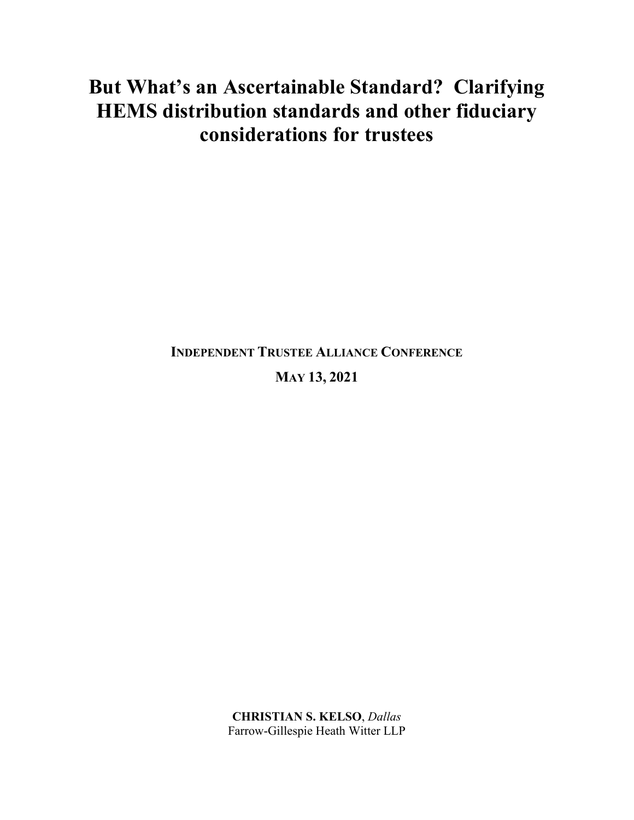# **But What's an Ascertainable Standard? Clarifying HEMS distribution standards and other fiduciary considerations for trustees**

**INDEPENDENT TRUSTEE ALLIANCE CONFERENCE MAY 13, 2021**

> **CHRISTIAN S. KELSO**, *Dallas* Farrow-Gillespie Heath Witter LLP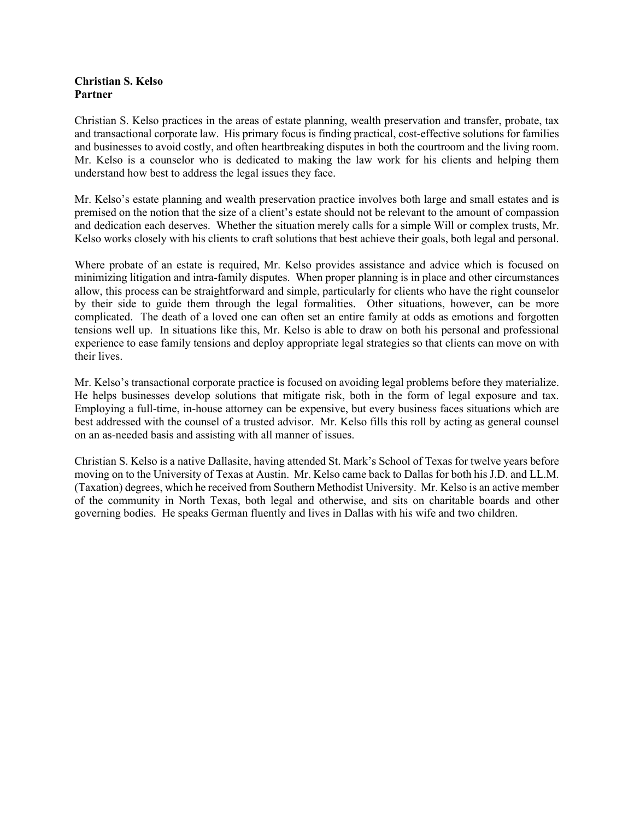#### **Christian S. Kelso Partner**

Christian S. Kelso practices in the areas of estate planning, wealth preservation and transfer, probate, tax and transactional corporate law. His primary focus is finding practical, cost-effective solutions for families and businesses to avoid costly, and often heartbreaking disputes in both the courtroom and the living room. Mr. Kelso is a counselor who is dedicated to making the law work for his clients and helping them understand how best to address the legal issues they face.

Mr. Kelso's estate planning and wealth preservation practice involves both large and small estates and is premised on the notion that the size of a client's estate should not be relevant to the amount of compassion and dedication each deserves. Whether the situation merely calls for a simple Will or complex trusts, Mr. Kelso works closely with his clients to craft solutions that best achieve their goals, both legal and personal.

Where probate of an estate is required, Mr. Kelso provides assistance and advice which is focused on minimizing litigation and intra-family disputes. When proper planning is in place and other circumstances allow, this process can be straightforward and simple, particularly for clients who have the right counselor by their side to guide them through the legal formalities. Other situations, however, can be more complicated. The death of a loved one can often set an entire family at odds as emotions and forgotten tensions well up. In situations like this, Mr. Kelso is able to draw on both his personal and professional experience to ease family tensions and deploy appropriate legal strategies so that clients can move on with their lives.

Mr. Kelso's transactional corporate practice is focused on avoiding legal problems before they materialize. He helps businesses develop solutions that mitigate risk, both in the form of legal exposure and tax. Employing a full-time, in-house attorney can be expensive, but every business faces situations which are best addressed with the counsel of a trusted advisor. Mr. Kelso fills this roll by acting as general counsel on an as-needed basis and assisting with all manner of issues.

Christian S. Kelso is a native Dallasite, having attended St. Mark's School of Texas for twelve years before moving on to the University of Texas at Austin. Mr. Kelso came back to Dallas for both his J.D. and LL.M. (Taxation) degrees, which he received from Southern Methodist University. Mr. Kelso is an active member of the community in North Texas, both legal and otherwise, and sits on charitable boards and other governing bodies. He speaks German fluently and lives in Dallas with his wife and two children.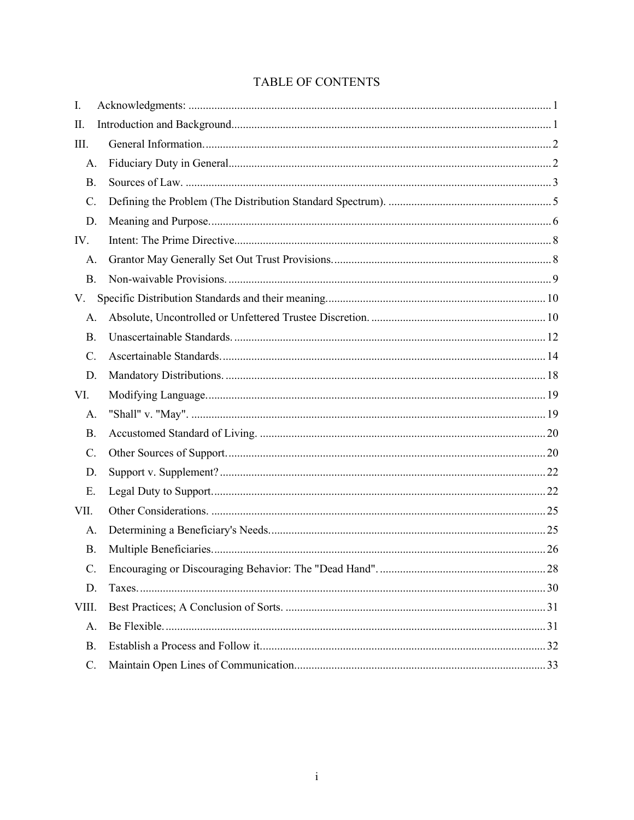| I.              |  |  |  |  |
|-----------------|--|--|--|--|
| П.              |  |  |  |  |
| III.            |  |  |  |  |
| A.              |  |  |  |  |
| <b>B.</b>       |  |  |  |  |
| C.              |  |  |  |  |
| D.              |  |  |  |  |
| IV.             |  |  |  |  |
| А.              |  |  |  |  |
| <b>B.</b>       |  |  |  |  |
| V.              |  |  |  |  |
| А.              |  |  |  |  |
| <b>B.</b>       |  |  |  |  |
| $\mathcal{C}$ . |  |  |  |  |
| D.              |  |  |  |  |
| VI.             |  |  |  |  |
| A.              |  |  |  |  |
| <b>B.</b>       |  |  |  |  |
| C.              |  |  |  |  |
| D.              |  |  |  |  |
| Ε.              |  |  |  |  |
| VII.            |  |  |  |  |
| A.              |  |  |  |  |
| <b>B.</b>       |  |  |  |  |
| C.              |  |  |  |  |
| D.              |  |  |  |  |
| VIII.           |  |  |  |  |
| А.              |  |  |  |  |
| <b>B.</b>       |  |  |  |  |
| C.              |  |  |  |  |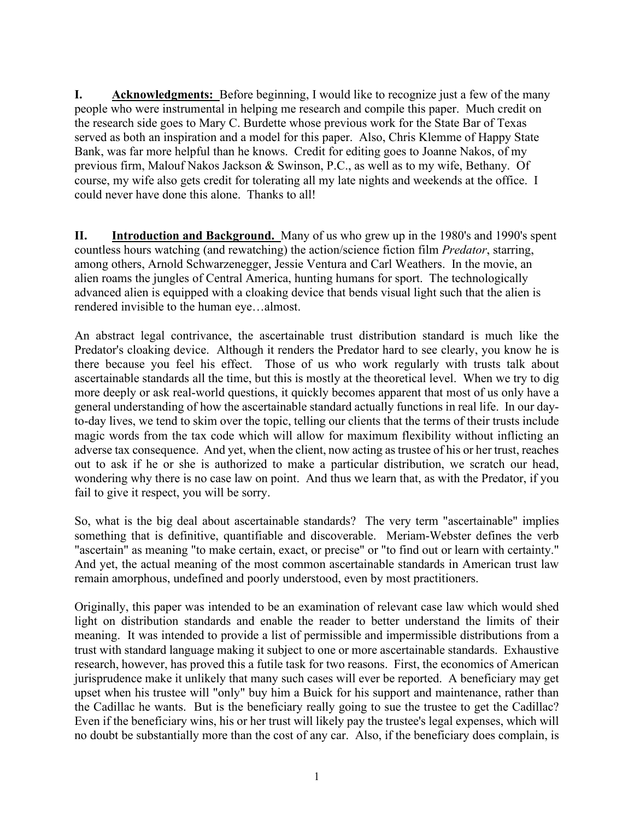<span id="page-3-0"></span>**I. Acknowledgments:** Before beginning, I would like to recognize just a few of the many people who were instrumental in helping me research and compile this paper. Much credit on the research side goes to Mary C. Burdette whose previous work for the State Bar of Texas served as both an inspiration and a model for this paper. Also, Chris Klemme of Happy State Bank, was far more helpful than he knows. Credit for editing goes to Joanne Nakos, of my previous firm, Malouf Nakos Jackson & Swinson, P.C., as well as to my wife, Bethany. Of course, my wife also gets credit for tolerating all my late nights and weekends at the office. I could never have done this alone. Thanks to all!

<span id="page-3-1"></span>**II. Introduction and Background.** Many of us who grew up in the 1980's and 1990's spent countless hours watching (and rewatching) the action/science fiction film *Predator*, starring, among others, Arnold Schwarzenegger, Jessie Ventura and Carl Weathers. In the movie, an alien roams the jungles of Central America, hunting humans for sport. The technologically advanced alien is equipped with a cloaking device that bends visual light such that the alien is rendered invisible to the human eye…almost.

An abstract legal contrivance, the ascertainable trust distribution standard is much like the Predator's cloaking device. Although it renders the Predator hard to see clearly, you know he is there because you feel his effect. Those of us who work regularly with trusts talk about ascertainable standards all the time, but this is mostly at the theoretical level. When we try to dig more deeply or ask real-world questions, it quickly becomes apparent that most of us only have a general understanding of how the ascertainable standard actually functions in real life. In our dayto-day lives, we tend to skim over the topic, telling our clients that the terms of their trusts include magic words from the tax code which will allow for maximum flexibility without inflicting an adverse tax consequence. And yet, when the client, now acting as trustee of his or her trust, reaches out to ask if he or she is authorized to make a particular distribution, we scratch our head, wondering why there is no case law on point. And thus we learn that, as with the Predator, if you fail to give it respect, you will be sorry.

So, what is the big deal about ascertainable standards? The very term "ascertainable" implies something that is definitive, quantifiable and discoverable. Meriam-Webster defines the verb "ascertain" as meaning "to make certain, exact, or precise" or "to find out or learn with certainty." And yet, the actual meaning of the most common ascertainable standards in American trust law remain amorphous, undefined and poorly understood, even by most practitioners.

Originally, this paper was intended to be an examination of relevant case law which would shed light on distribution standards and enable the reader to better understand the limits of their meaning. It was intended to provide a list of permissible and impermissible distributions from a trust with standard language making it subject to one or more ascertainable standards. Exhaustive research, however, has proved this a futile task for two reasons. First, the economics of American jurisprudence make it unlikely that many such cases will ever be reported. A beneficiary may get upset when his trustee will "only" buy him a Buick for his support and maintenance, rather than the Cadillac he wants. But is the beneficiary really going to sue the trustee to get the Cadillac? Even if the beneficiary wins, his or her trust will likely pay the trustee's legal expenses, which will no doubt be substantially more than the cost of any car. Also, if the beneficiary does complain, is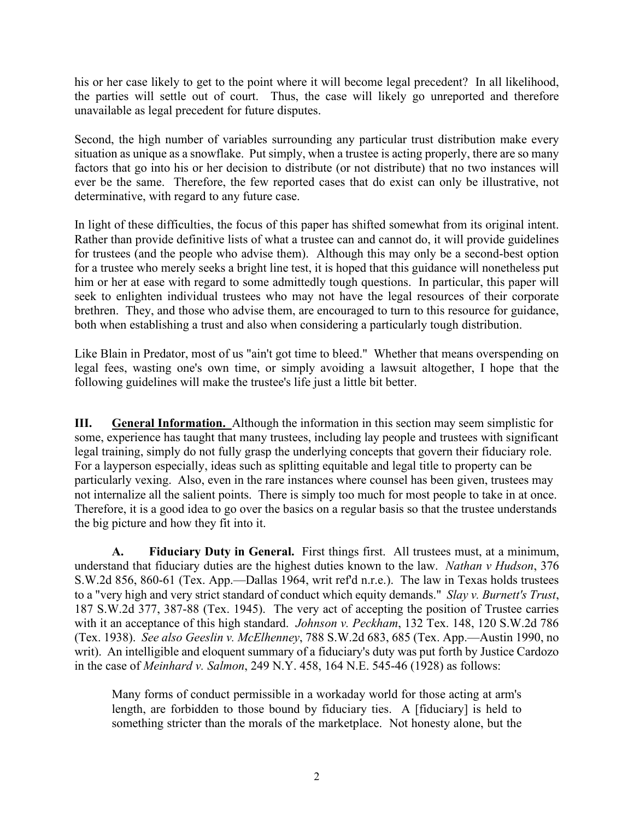his or her case likely to get to the point where it will become legal precedent? In all likelihood, the parties will settle out of court. Thus, the case will likely go unreported and therefore unavailable as legal precedent for future disputes.

Second, the high number of variables surrounding any particular trust distribution make every situation as unique as a snowflake. Put simply, when a trustee is acting properly, there are so many factors that go into his or her decision to distribute (or not distribute) that no two instances will ever be the same. Therefore, the few reported cases that do exist can only be illustrative, not determinative, with regard to any future case.

In light of these difficulties, the focus of this paper has shifted somewhat from its original intent. Rather than provide definitive lists of what a trustee can and cannot do, it will provide guidelines for trustees (and the people who advise them). Although this may only be a second-best option for a trustee who merely seeks a bright line test, it is hoped that this guidance will nonetheless put him or her at ease with regard to some admittedly tough questions. In particular, this paper will seek to enlighten individual trustees who may not have the legal resources of their corporate brethren. They, and those who advise them, are encouraged to turn to this resource for guidance, both when establishing a trust and also when considering a particularly tough distribution.

Like Blain in Predator, most of us "ain't got time to bleed." Whether that means overspending on legal fees, wasting one's own time, or simply avoiding a lawsuit altogether, I hope that the following guidelines will make the trustee's life just a little bit better.

<span id="page-4-0"></span>**III. General Information.** Although the information in this section may seem simplistic for some, experience has taught that many trustees, including lay people and trustees with significant legal training, simply do not fully grasp the underlying concepts that govern their fiduciary role. For a layperson especially, ideas such as splitting equitable and legal title to property can be particularly vexing. Also, even in the rare instances where counsel has been given, trustees may not internalize all the salient points. There is simply too much for most people to take in at once. Therefore, it is a good idea to go over the basics on a regular basis so that the trustee understands the big picture and how they fit into it.

<span id="page-4-1"></span>**A. Fiduciary Duty in General.** First things first. All trustees must, at a minimum, understand that fiduciary duties are the highest duties known to the law. *Nathan v Hudson*, 376 S.W.2d 856, 860-61 (Tex. App.—Dallas 1964, writ ref'd n.r.e.). The law in Texas holds trustees to a "very high and very strict standard of conduct which equity demands." *Slay v. Burnett's Trust*, 187 S.W.2d 377, 387-88 (Tex. 1945). The very act of accepting the position of Trustee carries with it an acceptance of this high standard. *Johnson v. Peckham*, 132 Tex. 148, 120 S.W.2d 786 (Tex. 1938). *See also Geeslin v. McElhenney*, 788 S.W.2d 683, 685 (Tex. App.—Austin 1990, no writ). An intelligible and eloquent summary of a fiduciary's duty was put forth by Justice Cardozo in the case of *Meinhard v. Salmon*, 249 N.Y. 458, 164 N.E. 545-46 (1928) as follows:

Many forms of conduct permissible in a workaday world for those acting at arm's length, are forbidden to those bound by fiduciary ties. A [fiduciary] is held to something stricter than the morals of the marketplace. Not honesty alone, but the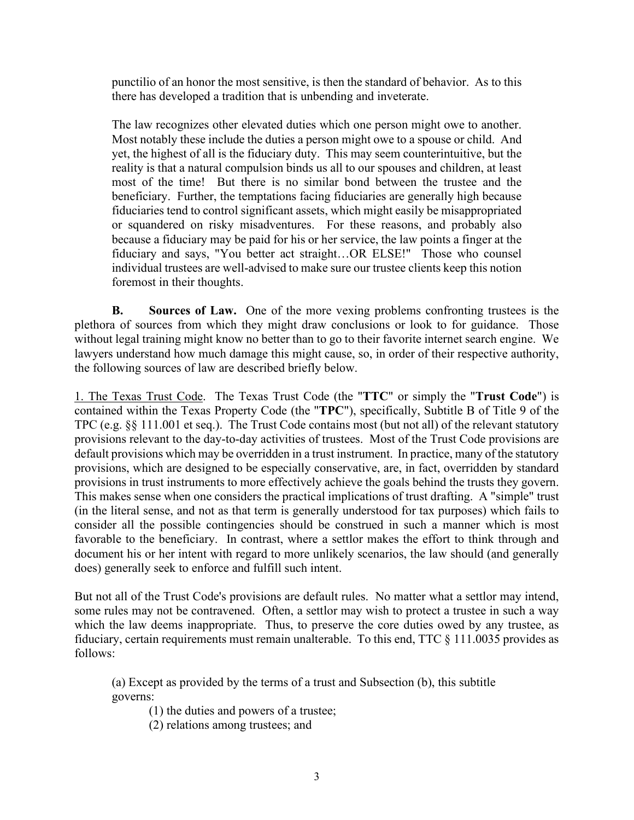punctilio of an honor the most sensitive, is then the standard of behavior. As to this there has developed a tradition that is unbending and inveterate.

The law recognizes other elevated duties which one person might owe to another. Most notably these include the duties a person might owe to a spouse or child. And yet, the highest of all is the fiduciary duty. This may seem counterintuitive, but the reality is that a natural compulsion binds us all to our spouses and children, at least most of the time! But there is no similar bond between the trustee and the beneficiary. Further, the temptations facing fiduciaries are generally high because fiduciaries tend to control significant assets, which might easily be misappropriated or squandered on risky misadventures. For these reasons, and probably also because a fiduciary may be paid for his or her service, the law points a finger at the fiduciary and says, "You better act straight…OR ELSE!" Those who counsel individual trustees are well-advised to make sure our trustee clients keep this notion foremost in their thoughts.

<span id="page-5-0"></span>**B. Sources of Law.** One of the more vexing problems confronting trustees is the plethora of sources from which they might draw conclusions or look to for guidance. Those without legal training might know no better than to go to their favorite internet search engine. We lawyers understand how much damage this might cause, so, in order of their respective authority, the following sources of law are described briefly below.

1. The Texas Trust Code. The Texas Trust Code (the "**TTC**" or simply the "**Trust Code**") is contained within the Texas Property Code (the "**TPC**"), specifically, Subtitle B of Title 9 of the TPC (e.g. §§ 111.001 et seq.). The Trust Code contains most (but not all) of the relevant statutory provisions relevant to the day-to-day activities of trustees. Most of the Trust Code provisions are default provisions which may be overridden in a trust instrument. In practice, many of the statutory provisions, which are designed to be especially conservative, are, in fact, overridden by standard provisions in trust instruments to more effectively achieve the goals behind the trusts they govern. This makes sense when one considers the practical implications of trust drafting. A "simple" trust (in the literal sense, and not as that term is generally understood for tax purposes) which fails to consider all the possible contingencies should be construed in such a manner which is most favorable to the beneficiary. In contrast, where a settlor makes the effort to think through and document his or her intent with regard to more unlikely scenarios, the law should (and generally does) generally seek to enforce and fulfill such intent.

But not all of the Trust Code's provisions are default rules. No matter what a settlor may intend, some rules may not be contravened. Often, a settlor may wish to protect a trustee in such a way which the law deems inappropriate. Thus, to preserve the core duties owed by any trustee, as fiduciary, certain requirements must remain unalterable. To this end, TTC § 111.0035 provides as follows:

(a) Except as provided by the terms of a trust and Subsection (b), this subtitle governs:

(1) the duties and powers of a trustee;

(2) relations among trustees; and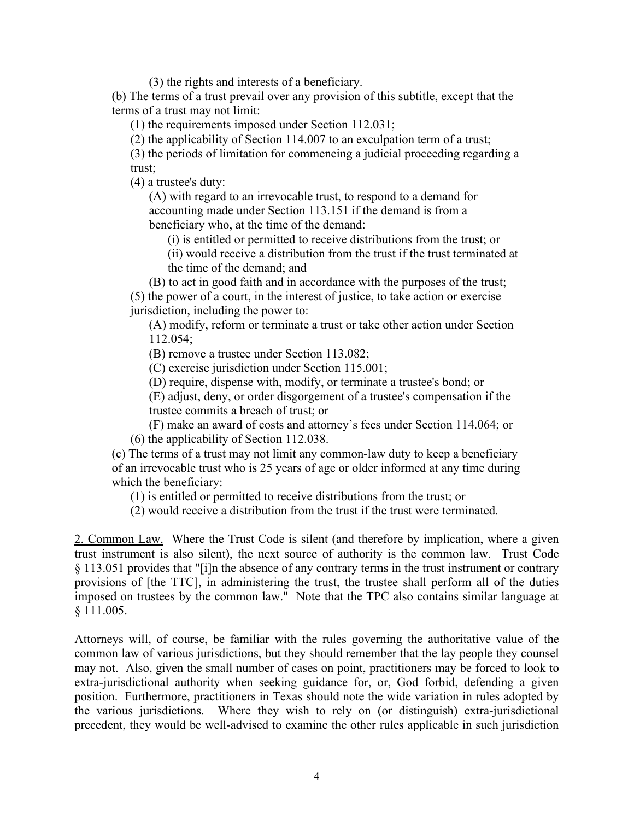(3) the rights and interests of a beneficiary.

(b) The terms of a trust prevail over any provision of this subtitle, except that the terms of a trust may not limit:

(1) the requirements imposed under Section 112.031;

(2) the applicability of Section 114.007 to an exculpation term of a trust;

(3) the periods of limitation for commencing a judicial proceeding regarding a trust;

(4) a trustee's duty:

(A) with regard to an irrevocable trust, to respond to a demand for accounting made under Section 113.151 if the demand is from a beneficiary who, at the time of the demand:

(i) is entitled or permitted to receive distributions from the trust; or

(ii) would receive a distribution from the trust if the trust terminated at the time of the demand; and

(B) to act in good faith and in accordance with the purposes of the trust; (5) the power of a court, in the interest of justice, to take action or exercise jurisdiction, including the power to:

(A) modify, reform or terminate a trust or take other action under Section 112.054;

(B) remove a trustee under Section 113.082;

(C) exercise jurisdiction under Section 115.001;

(D) require, dispense with, modify, or terminate a trustee's bond; or

(E) adjust, deny, or order disgorgement of a trustee's compensation if the trustee commits a breach of trust; or

(F) make an award of costs and attorney's fees under Section 114.064; or (6) the applicability of Section 112.038.

(c) The terms of a trust may not limit any common-law duty to keep a beneficiary of an irrevocable trust who is 25 years of age or older informed at any time during which the beneficiary:

(1) is entitled or permitted to receive distributions from the trust; or

(2) would receive a distribution from the trust if the trust were terminated.

2. Common Law. Where the Trust Code is silent (and therefore by implication, where a given trust instrument is also silent), the next source of authority is the common law. Trust Code § 113.051 provides that "[i]n the absence of any contrary terms in the trust instrument or contrary provisions of [the TTC], in administering the trust, the trustee shall perform all of the duties imposed on trustees by the common law." Note that the TPC also contains similar language at § 111.005.

Attorneys will, of course, be familiar with the rules governing the authoritative value of the common law of various jurisdictions, but they should remember that the lay people they counsel may not. Also, given the small number of cases on point, practitioners may be forced to look to extra-jurisdictional authority when seeking guidance for, or, God forbid, defending a given position. Furthermore, practitioners in Texas should note the wide variation in rules adopted by the various jurisdictions. Where they wish to rely on (or distinguish) extra-jurisdictional precedent, they would be well-advised to examine the other rules applicable in such jurisdiction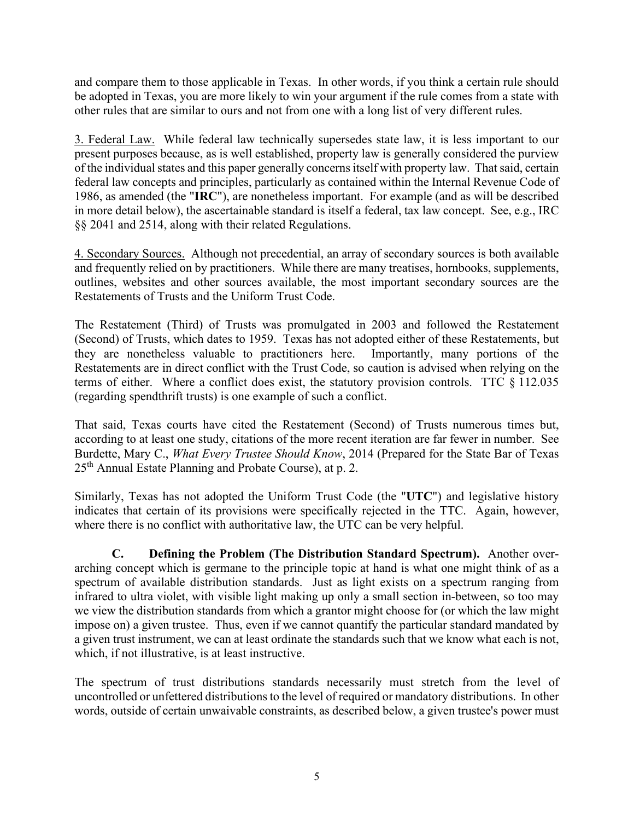and compare them to those applicable in Texas. In other words, if you think a certain rule should be adopted in Texas, you are more likely to win your argument if the rule comes from a state with other rules that are similar to ours and not from one with a long list of very different rules.

3. Federal Law. While federal law technically supersedes state law, it is less important to our present purposes because, as is well established, property law is generally considered the purview of the individual states and this paper generally concerns itself with property law. That said, certain federal law concepts and principles, particularly as contained within the Internal Revenue Code of 1986, as amended (the "**IRC**"), are nonetheless important. For example (and as will be described in more detail below), the ascertainable standard is itself a federal, tax law concept. See, e.g., IRC §§ 2041 and 2514, along with their related Regulations.

4. Secondary Sources. Although not precedential, an array of secondary sources is both available and frequently relied on by practitioners. While there are many treatises, hornbooks, supplements, outlines, websites and other sources available, the most important secondary sources are the Restatements of Trusts and the Uniform Trust Code.

The Restatement (Third) of Trusts was promulgated in 2003 and followed the Restatement (Second) of Trusts, which dates to 1959. Texas has not adopted either of these Restatements, but they are nonetheless valuable to practitioners here. Importantly, many portions of the Restatements are in direct conflict with the Trust Code, so caution is advised when relying on the terms of either. Where a conflict does exist, the statutory provision controls. TTC § 112.035 (regarding spendthrift trusts) is one example of such a conflict.

That said, Texas courts have cited the Restatement (Second) of Trusts numerous times but, according to at least one study, citations of the more recent iteration are far fewer in number. See Burdette, Mary C., *What Every Trustee Should Know*, 2014 (Prepared for the State Bar of Texas 25th Annual Estate Planning and Probate Course), at p. 2.

Similarly, Texas has not adopted the Uniform Trust Code (the "**UTC**") and legislative history indicates that certain of its provisions were specifically rejected in the TTC. Again, however, where there is no conflict with authoritative law, the UTC can be very helpful.

<span id="page-7-0"></span>**C. Defining the Problem (The Distribution Standard Spectrum).** Another overarching concept which is germane to the principle topic at hand is what one might think of as a spectrum of available distribution standards. Just as light exists on a spectrum ranging from infrared to ultra violet, with visible light making up only a small section in-between, so too may we view the distribution standards from which a grantor might choose for (or which the law might impose on) a given trustee. Thus, even if we cannot quantify the particular standard mandated by a given trust instrument, we can at least ordinate the standards such that we know what each is not, which, if not illustrative, is at least instructive.

The spectrum of trust distributions standards necessarily must stretch from the level of uncontrolled or unfettered distributions to the level of required or mandatory distributions. In other words, outside of certain unwaivable constraints, as described below, a given trustee's power must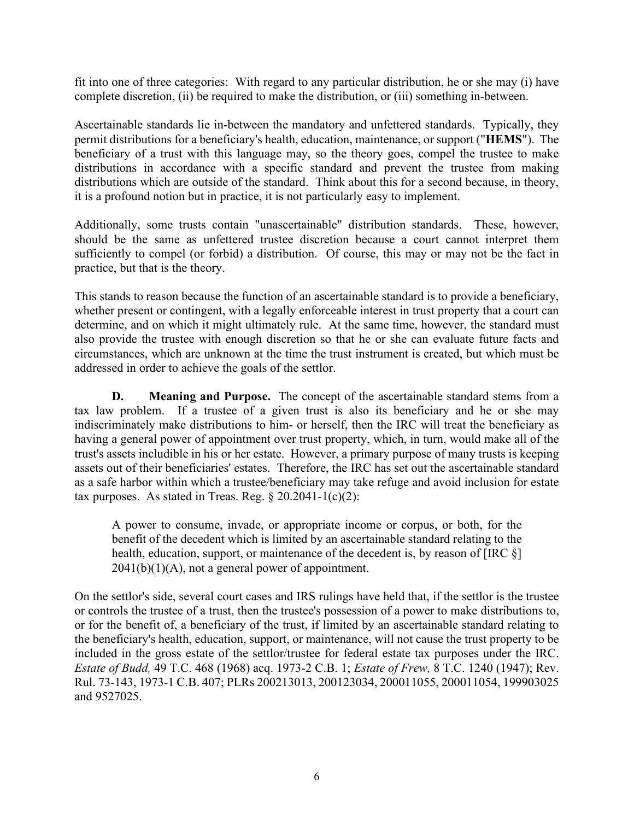fit into one of three categories: With regard to any particular distribution, he or she may (i) have complete discretion, (ii) be required to make the distribution, or (iii) something in-between.

Ascertainable standards lie in-between the mandatory and unfettered standards. Typically, they permit distributions for a beneficiary's health, education, maintenance, or support ("**HEMS**"). The beneficiary of a trust with this language may, so the theory goes, compel the trustee to make distributions in accordance with a specific standard and prevent the trustee from making distributions which are outside of the standard. Think about this for a second because, in theory, it is a profound notion but in practice, it is not particularly easy to implement.

Additionally, some trusts contain "unascertainable" distribution standards. These, however, should be the same as unfettered trustee discretion because a court cannot interpret them sufficiently to compel (or forbid) a distribution. Of course, this may or may not be the fact in practice, but that is the theory.

This stands to reason because the function of an ascertainable standard is to provide a beneficiary, whether present or contingent, with a legally enforceable interest in trust property that a court can determine, and on which it might ultimately rule. At the same time, however, the standard must also provide the trustee with enough discretion so that he or she can evaluate future facts and circumstances, which are unknown at the time the trust instrument is created, but which must be addressed in order to achieve the goals of the settlor.

<span id="page-8-0"></span>**D. Meaning and Purpose.** The concept of the ascertainable standard stems from a tax law problem. If a trustee of a given trust is also its beneficiary and he or she may indiscriminately make distributions to him- or herself, then the IRC will treat the beneficiary as having a general power of appointment over trust property, which, in turn, would make all of the trust's assets includible in his or her estate. However, a primary purpose of many trusts is keeping assets out of their beneficiaries' estates. Therefore, the IRC has set out the ascertainable standard as a safe harbor within which a trustee/beneficiary may take refuge and avoid inclusion for estate tax purposes. As stated in Treas. Reg.  $\frac{8}{20.2041 - 1(c)(2)}$ :

A power to consume, invade, or appropriate income or corpus, or both, for the benefit of the decedent which is limited by an ascertainable standard relating to the health, education, support, or maintenance of the decedent is, by reason of  $[IRC \S]$  $2041(b)(1)(A)$ , not a general power of appointment.

On the settlor's side, several court cases and IRS rulings have held that, if the settlor is the trustee or controls the trustee of a trust, then the trustee's possession of a power to make distributions to, or for the benefit of, a beneficiary of the trust, if limited by an ascertainable standard relating to the beneficiary's health, education, support, or maintenance, will not cause the trust property to be included in the gross estate of the settlor/trustee for federal estate tax purposes under the IRC. *Estate of Budd,* 49 T.C. 468 (1968) acq. 1973-2 C.B. 1; *Estate of Frew,* 8 T.C. 1240 (1947); Rev. Rul. 73-143, 1973-1 C.B. 407; PLRs 200213013, 200123034, 200011055, 200011054, 199903025 and 9527025.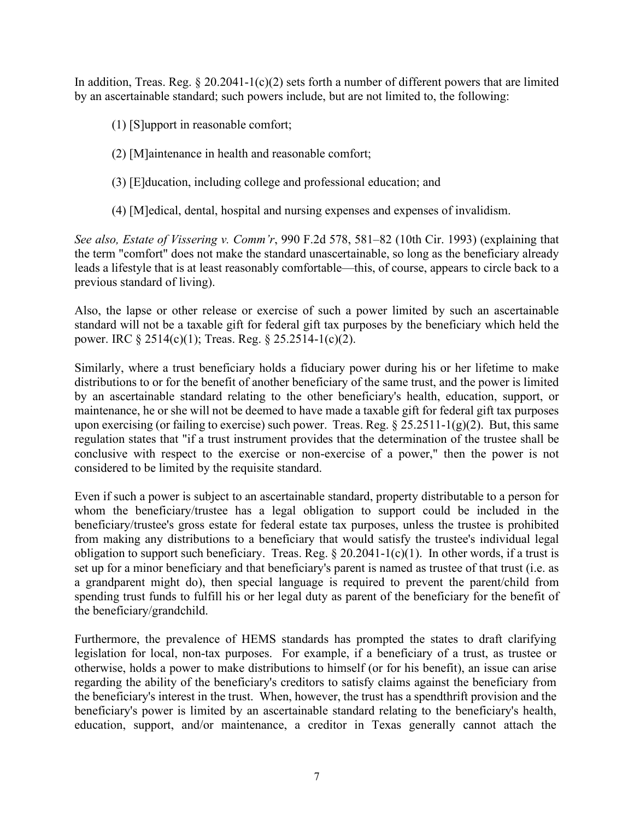In addition, Treas. Reg.  $\S 20.2041-1(c)(2)$  sets forth a number of different powers that are limited by an ascertainable standard; such powers include, but are not limited to, the following:

- (1) [S]upport in reasonable comfort;
- (2) [M]aintenance in health and reasonable comfort;
- (3) [E]ducation, including college and professional education; and
- (4) [M]edical, dental, hospital and nursing expenses and expenses of invalidism.

*See also, Estate of Vissering v. Comm'r*, 990 F.2d 578, 581–82 (10th Cir. 1993) (explaining that the term "comfort" does not make the standard unascertainable, so long as the beneficiary already leads a lifestyle that is at least reasonably comfortable—this, of course, appears to circle back to a previous standard of living).

Also, the lapse or other release or exercise of such a power limited by such an ascertainable standard will not be a taxable gift for federal gift tax purposes by the beneficiary which held the power. IRC § 2514(c)(1); Treas. Reg. § 25.2514-1(c)(2).

Similarly, where a trust beneficiary holds a fiduciary power during his or her lifetime to make distributions to or for the benefit of another beneficiary of the same trust, and the power is limited by an ascertainable standard relating to the other beneficiary's health, education, support, or maintenance, he or she will not be deemed to have made a taxable gift for federal gift tax purposes upon exercising (or failing to exercise) such power. Treas. Reg.  $\S 25.2511-1(g)(2)$ . But, this same regulation states that "if a trust instrument provides that the determination of the trustee shall be conclusive with respect to the exercise or non-exercise of a power," then the power is not considered to be limited by the requisite standard.

Even if such a power is subject to an ascertainable standard, property distributable to a person for whom the beneficiary/trustee has a legal obligation to support could be included in the beneficiary/trustee's gross estate for federal estate tax purposes, unless the trustee is prohibited from making any distributions to a beneficiary that would satisfy the trustee's individual legal obligation to support such beneficiary. Treas. Reg.  $\S 20.2041 - 1(c)(1)$ . In other words, if a trust is set up for a minor beneficiary and that beneficiary's parent is named as trustee of that trust (i.e. as a grandparent might do), then special language is required to prevent the parent/child from spending trust funds to fulfill his or her legal duty as parent of the beneficiary for the benefit of the beneficiary/grandchild.

Furthermore, the prevalence of HEMS standards has prompted the states to draft clarifying legislation for local, non-tax purposes. For example, if a beneficiary of a trust, as trustee or otherwise, holds a power to make distributions to himself (or for his benefit), an issue can arise regarding the ability of the beneficiary's creditors to satisfy claims against the beneficiary from the beneficiary's interest in the trust. When, however, the trust has a spendthrift provision and the beneficiary's power is limited by an ascertainable standard relating to the beneficiary's health, education, support, and/or maintenance, a creditor in Texas generally cannot attach the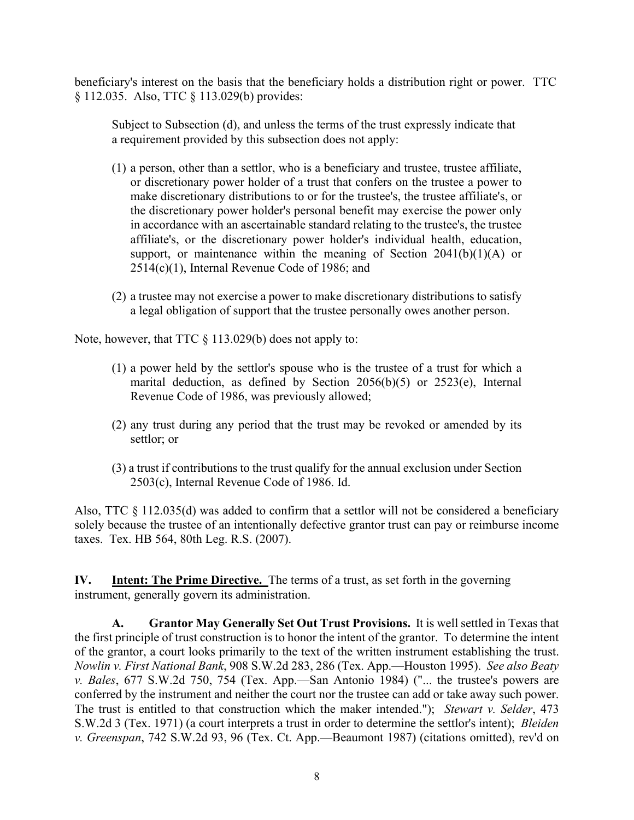beneficiary's interest on the basis that the beneficiary holds a distribution right or power. TTC § 112.035. Also, TTC § 113.029(b) provides:

Subject to Subsection (d), and unless the terms of the trust expressly indicate that a requirement provided by this subsection does not apply:

- (1) a person, other than a settlor, who is a beneficiary and trustee, trustee affiliate, or discretionary power holder of a trust that confers on the trustee a power to make discretionary distributions to or for the trustee's, the trustee affiliate's, or the discretionary power holder's personal benefit may exercise the power only in accordance with an ascertainable standard relating to the trustee's, the trustee affiliate's, or the discretionary power holder's individual health, education, support, or maintenance within the meaning of Section  $2041(b)(1)(A)$  or 2514(c)(1), Internal Revenue Code of 1986; and
- (2) a trustee may not exercise a power to make discretionary distributions to satisfy a legal obligation of support that the trustee personally owes another person.

Note, however, that TTC § 113.029(b) does not apply to:

- (1) a power held by the settlor's spouse who is the trustee of a trust for which a marital deduction, as defined by Section 2056(b)(5) or 2523(e), Internal Revenue Code of 1986, was previously allowed;
- (2) any trust during any period that the trust may be revoked or amended by its settlor; or
- (3) a trust if contributions to the trust qualify for the annual exclusion under Section 2503(c), Internal Revenue Code of 1986. Id.

Also, TTC  $\S 112.035(d)$  was added to confirm that a settlor will not be considered a beneficiary solely because the trustee of an intentionally defective grantor trust can pay or reimburse income taxes. Tex. HB 564, 80th Leg. R.S. (2007).

<span id="page-10-0"></span>**IV. Intent: The Prime Directive.** The terms of a trust, as set forth in the governing instrument, generally govern its administration.

<span id="page-10-1"></span>**A. Grantor May Generally Set Out Trust Provisions.** It is well settled in Texas that the first principle of trust construction is to honor the intent of the grantor. To determine the intent of the grantor, a court looks primarily to the text of the written instrument establishing the trust. *Nowlin v. First National Bank*, 908 S.W.2d 283, 286 (Tex. App.—Houston 1995). *See also Beaty v. Bales*, 677 S.W.2d 750, 754 (Tex. App.—San Antonio 1984) ("... the trustee's powers are conferred by the instrument and neither the court nor the trustee can add or take away such power. The trust is entitled to that construction which the maker intended."); *Stewart v. Selder*, 473 S.W.2d 3 (Tex. 1971) (a court interprets a trust in order to determine the settlor's intent); *Bleiden v. Greenspan*, 742 S.W.2d 93, 96 (Tex. Ct. App.—Beaumont 1987) (citations omitted), rev'd on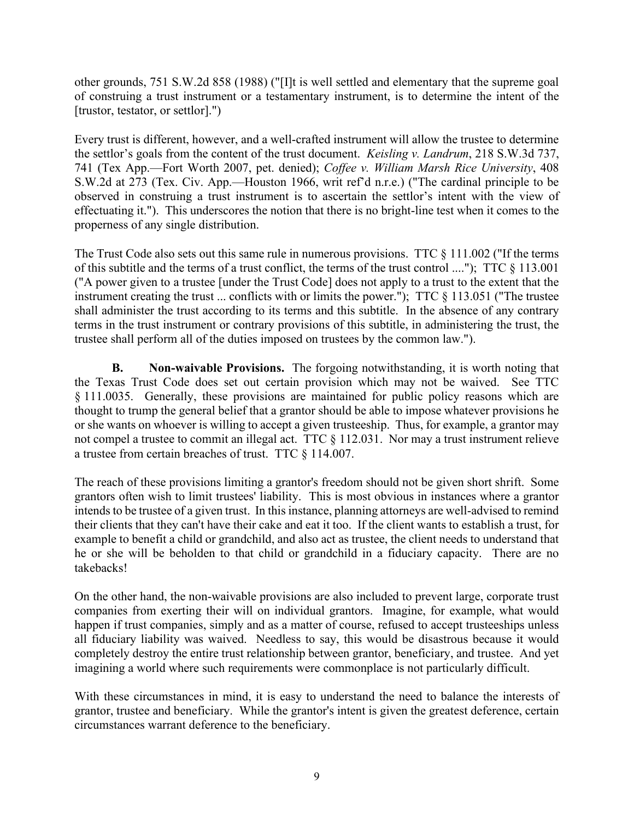other grounds, 751 S.W.2d 858 (1988) ("[I]t is well settled and elementary that the supreme goal of construing a trust instrument or a testamentary instrument, is to determine the intent of the [trustor, testator, or settlor].")

Every trust is different, however, and a well-crafted instrument will allow the trustee to determine the settlor's goals from the content of the trust document. *Keisling v. Landrum*, 218 S.W.3d 737, 741 (Tex App.—Fort Worth 2007, pet. denied); *Coffee v. William Marsh Rice University*, 408 S.W.2d at 273 (Tex. Civ. App.—Houston 1966, writ ref'd n.r.e.) ("The cardinal principle to be observed in construing a trust instrument is to ascertain the settlor's intent with the view of effectuating it."). This underscores the notion that there is no bright-line test when it comes to the properness of any single distribution.

The Trust Code also sets out this same rule in numerous provisions. TTC § 111.002 ("If the terms of this subtitle and the terms of a trust conflict, the terms of the trust control ...."); TTC § 113.001 ("A power given to a trustee [under the Trust Code] does not apply to a trust to the extent that the instrument creating the trust ... conflicts with or limits the power."); TTC  $\S$  113.051 ("The trustee shall administer the trust according to its terms and this subtitle. In the absence of any contrary terms in the trust instrument or contrary provisions of this subtitle, in administering the trust, the trustee shall perform all of the duties imposed on trustees by the common law.").

<span id="page-11-0"></span>**B. Non-waivable Provisions.** The forgoing notwithstanding, it is worth noting that the Texas Trust Code does set out certain provision which may not be waived. See TTC § 111.0035. Generally, these provisions are maintained for public policy reasons which are thought to trump the general belief that a grantor should be able to impose whatever provisions he or she wants on whoever is willing to accept a given trusteeship. Thus, for example, a grantor may not compel a trustee to commit an illegal act. TTC  $\S$  112.031. Nor may a trust instrument relieve a trustee from certain breaches of trust. TTC § 114.007.

The reach of these provisions limiting a grantor's freedom should not be given short shrift. Some grantors often wish to limit trustees' liability. This is most obvious in instances where a grantor intends to be trustee of a given trust. In this instance, planning attorneys are well-advised to remind their clients that they can't have their cake and eat it too. If the client wants to establish a trust, for example to benefit a child or grandchild, and also act as trustee, the client needs to understand that he or she will be beholden to that child or grandchild in a fiduciary capacity. There are no takebacks!

On the other hand, the non-waivable provisions are also included to prevent large, corporate trust companies from exerting their will on individual grantors. Imagine, for example, what would happen if trust companies, simply and as a matter of course, refused to accept trusteeships unless all fiduciary liability was waived. Needless to say, this would be disastrous because it would completely destroy the entire trust relationship between grantor, beneficiary, and trustee. And yet imagining a world where such requirements were commonplace is not particularly difficult.

With these circumstances in mind, it is easy to understand the need to balance the interests of grantor, trustee and beneficiary. While the grantor's intent is given the greatest deference, certain circumstances warrant deference to the beneficiary.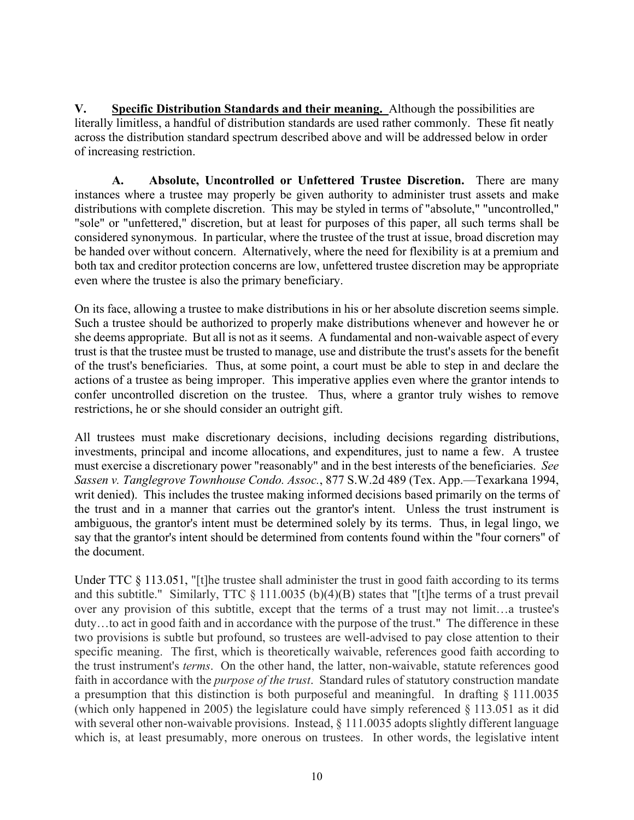<span id="page-12-0"></span>**V. Specific Distribution Standards and their meaning.** Although the possibilities are literally limitless, a handful of distribution standards are used rather commonly. These fit neatly across the distribution standard spectrum described above and will be addressed below in order of increasing restriction.

<span id="page-12-1"></span>**A. Absolute, Uncontrolled or Unfettered Trustee Discretion.** There are many instances where a trustee may properly be given authority to administer trust assets and make distributions with complete discretion. This may be styled in terms of "absolute," "uncontrolled," "sole" or "unfettered," discretion, but at least for purposes of this paper, all such terms shall be considered synonymous. In particular, where the trustee of the trust at issue, broad discretion may be handed over without concern. Alternatively, where the need for flexibility is at a premium and both tax and creditor protection concerns are low, unfettered trustee discretion may be appropriate even where the trustee is also the primary beneficiary.

On its face, allowing a trustee to make distributions in his or her absolute discretion seems simple. Such a trustee should be authorized to properly make distributions whenever and however he or she deems appropriate. But all is not as it seems. A fundamental and non-waivable aspect of every trust is that the trustee must be trusted to manage, use and distribute the trust's assets for the benefit of the trust's beneficiaries. Thus, at some point, a court must be able to step in and declare the actions of a trustee as being improper. This imperative applies even where the grantor intends to confer uncontrolled discretion on the trustee. Thus, where a grantor truly wishes to remove restrictions, he or she should consider an outright gift.

All trustees must make discretionary decisions, including decisions regarding distributions, investments, principal and income allocations, and expenditures, just to name a few. A trustee must exercise a discretionary power "reasonably" and in the best interests of the beneficiaries. *See Sassen v. Tanglegrove Townhouse Condo. Assoc.*, 877 S.W.2d 489 (Tex. App.—Texarkana 1994, writ denied). This includes the trustee making informed decisions based primarily on the terms of the trust and in a manner that carries out the grantor's intent. Unless the trust instrument is ambiguous, the grantor's intent must be determined solely by its terms. Thus, in legal lingo, we say that the grantor's intent should be determined from contents found within the "four corners" of the document.

Under TTC § 113.051, "[t]he trustee shall administer the trust in good faith according to its terms and this subtitle." Similarly, TTC § 111.0035 (b)(4)(B) states that "[t]he terms of a trust prevail over any provision of this subtitle, except that the terms of a trust may not limit…a trustee's duty…to act in good faith and in accordance with the purpose of the trust." The difference in these two provisions is subtle but profound, so trustees are well-advised to pay close attention to their specific meaning. The first, which is theoretically waivable, references good faith according to the trust instrument's *terms*. On the other hand, the latter, non-waivable, statute references good faith in accordance with the *purpose of the trust*. Standard rules of statutory construction mandate a presumption that this distinction is both purposeful and meaningful. In drafting § 111.0035 (which only happened in 2005) the legislature could have simply referenced § 113.051 as it did with several other non-waivable provisions. Instead, § 111.0035 adopts slightly different language which is, at least presumably, more onerous on trustees. In other words, the legislative intent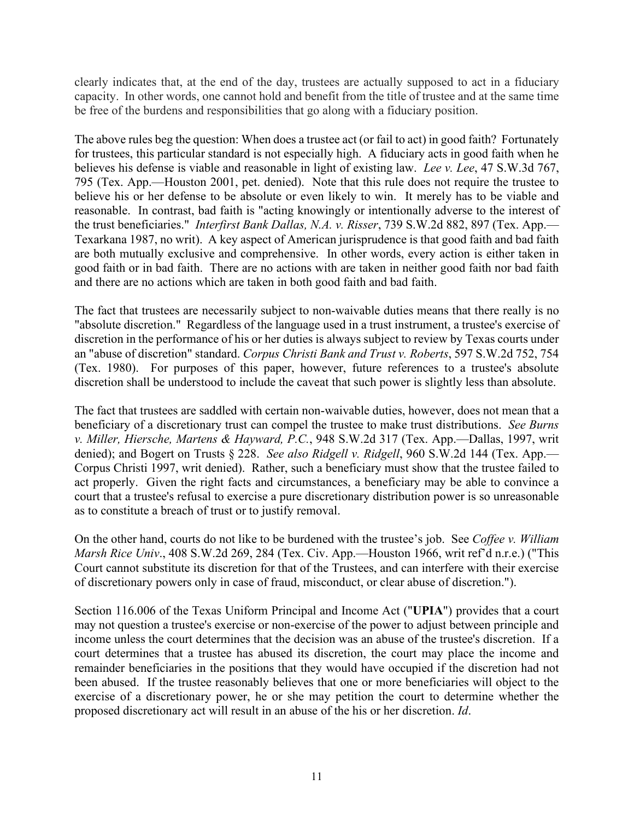clearly indicates that, at the end of the day, trustees are actually supposed to act in a fiduciary capacity. In other words, one cannot hold and benefit from the title of trustee and at the same time be free of the burdens and responsibilities that go along with a fiduciary position.

The above rules beg the question: When does a trustee act (or fail to act) in good faith? Fortunately for trustees, this particular standard is not especially high. A fiduciary acts in good faith when he believes his defense is viable and reasonable in light of existing law. *Lee v. Lee*, 47 S.W.3d 767, 795 (Tex. App.—Houston 2001, pet. denied). Note that this rule does not require the trustee to believe his or her defense to be absolute or even likely to win. It merely has to be viable and reasonable. In contrast, bad faith is "acting knowingly or intentionally adverse to the interest of the trust beneficiaries." *Interfirst Bank Dallas, N.A. v. Risser*, 739 S.W.2d 882, 897 (Tex. App.— Texarkana 1987, no writ). A key aspect of American jurisprudence is that good faith and bad faith are both mutually exclusive and comprehensive. In other words, every action is either taken in good faith or in bad faith. There are no actions with are taken in neither good faith nor bad faith and there are no actions which are taken in both good faith and bad faith.

The fact that trustees are necessarily subject to non-waivable duties means that there really is no "absolute discretion." Regardless of the language used in a trust instrument, a trustee's exercise of discretion in the performance of his or her duties is always subject to review by Texas courts under an "abuse of discretion" standard. *Corpus Christi Bank and Trust v. Roberts*, 597 S.W.2d 752, 754 (Tex. 1980). For purposes of this paper, however, future references to a trustee's absolute discretion shall be understood to include the caveat that such power is slightly less than absolute.

The fact that trustees are saddled with certain non-waivable duties, however, does not mean that a beneficiary of a discretionary trust can compel the trustee to make trust distributions. *See Burns v. Miller, Hiersche, Martens & Hayward, P.C.*, 948 S.W.2d 317 (Tex. App.—Dallas, 1997, writ denied); and Bogert on Trusts § 228. *See also Ridgell v. Ridgell*, 960 S.W.2d 144 (Tex. App.— Corpus Christi 1997, writ denied). Rather, such a beneficiary must show that the trustee failed to act properly. Given the right facts and circumstances, a beneficiary may be able to convince a court that a trustee's refusal to exercise a pure discretionary distribution power is so unreasonable as to constitute a breach of trust or to justify removal.

On the other hand, courts do not like to be burdened with the trustee's job. See *Coffee v. William Marsh Rice Univ*., 408 S.W.2d 269, 284 (Tex. Civ. App.—Houston 1966, writ ref'd n.r.e.) ("This Court cannot substitute its discretion for that of the Trustees, and can interfere with their exercise of discretionary powers only in case of fraud, misconduct, or clear abuse of discretion.").

Section 116.006 of the Texas Uniform Principal and Income Act ("**UPIA**") provides that a court may not question a trustee's exercise or non-exercise of the power to adjust between principle and income unless the court determines that the decision was an abuse of the trustee's discretion. If a court determines that a trustee has abused its discretion, the court may place the income and remainder beneficiaries in the positions that they would have occupied if the discretion had not been abused. If the trustee reasonably believes that one or more beneficiaries will object to the exercise of a discretionary power, he or she may petition the court to determine whether the proposed discretionary act will result in an abuse of the his or her discretion. *Id*.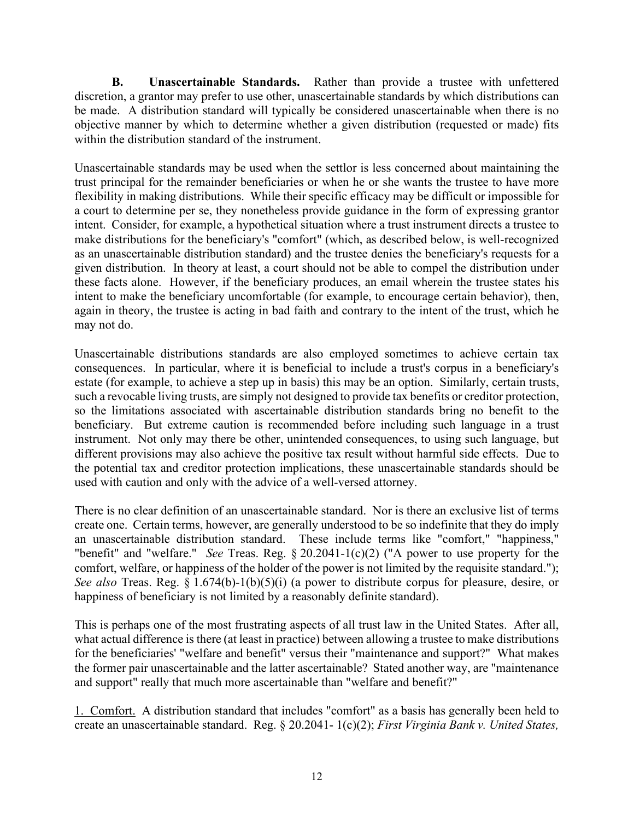<span id="page-14-0"></span>**B. Unascertainable Standards.** Rather than provide a trustee with unfettered discretion, a grantor may prefer to use other, unascertainable standards by which distributions can be made. A distribution standard will typically be considered unascertainable when there is no objective manner by which to determine whether a given distribution (requested or made) fits within the distribution standard of the instrument.

Unascertainable standards may be used when the settlor is less concerned about maintaining the trust principal for the remainder beneficiaries or when he or she wants the trustee to have more flexibility in making distributions. While their specific efficacy may be difficult or impossible for a court to determine per se, they nonetheless provide guidance in the form of expressing grantor intent. Consider, for example, a hypothetical situation where a trust instrument directs a trustee to make distributions for the beneficiary's "comfort" (which, as described below, is well-recognized as an unascertainable distribution standard) and the trustee denies the beneficiary's requests for a given distribution. In theory at least, a court should not be able to compel the distribution under these facts alone. However, if the beneficiary produces, an email wherein the trustee states his intent to make the beneficiary uncomfortable (for example, to encourage certain behavior), then, again in theory, the trustee is acting in bad faith and contrary to the intent of the trust, which he may not do.

Unascertainable distributions standards are also employed sometimes to achieve certain tax consequences. In particular, where it is beneficial to include a trust's corpus in a beneficiary's estate (for example, to achieve a step up in basis) this may be an option. Similarly, certain trusts, such a revocable living trusts, are simply not designed to provide tax benefits or creditor protection, so the limitations associated with ascertainable distribution standards bring no benefit to the beneficiary. But extreme caution is recommended before including such language in a trust instrument. Not only may there be other, unintended consequences, to using such language, but different provisions may also achieve the positive tax result without harmful side effects. Due to the potential tax and creditor protection implications, these unascertainable standards should be used with caution and only with the advice of a well-versed attorney.

There is no clear definition of an unascertainable standard. Nor is there an exclusive list of terms create one. Certain terms, however, are generally understood to be so indefinite that they do imply an unascertainable distribution standard. These include terms like "comfort," "happiness," "benefit" and "welfare." *See* Treas. Reg. § 20.2041-1(c)(2) ("A power to use property for the comfort, welfare, or happiness of the holder of the power is not limited by the requisite standard."); *See also* Treas. Reg. § 1.674(b)-1(b)(5)(i) (a power to distribute corpus for pleasure, desire, or happiness of beneficiary is not limited by a reasonably definite standard).

This is perhaps one of the most frustrating aspects of all trust law in the United States. After all, what actual difference is there (at least in practice) between allowing a trustee to make distributions for the beneficiaries' "welfare and benefit" versus their "maintenance and support?" What makes the former pair unascertainable and the latter ascertainable? Stated another way, are "maintenance and support" really that much more ascertainable than "welfare and benefit?"

1. Comfort. A distribution standard that includes "comfort" as a basis has generally been held to create an unascertainable standard. Reg. § 20.2041- 1(c)(2); *First Virginia Bank v. United States,*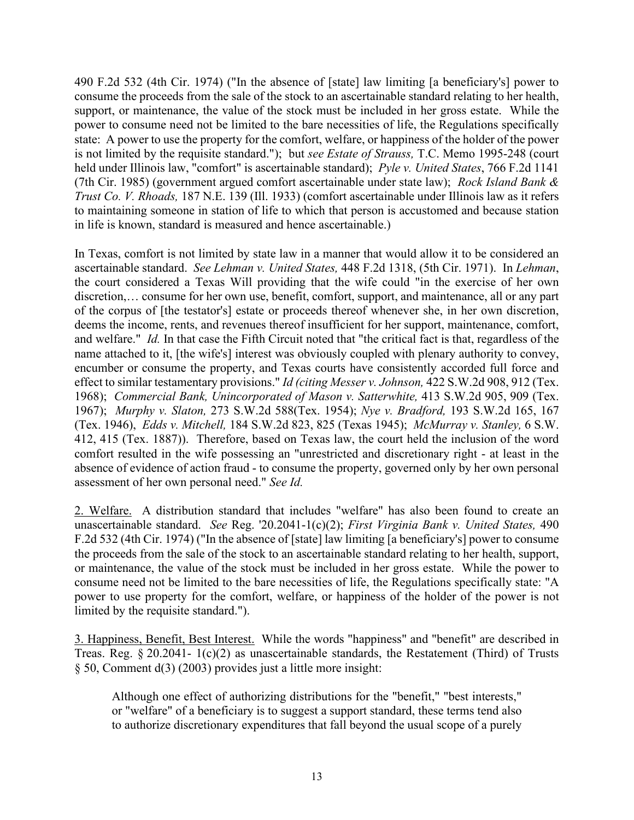490 F.2d 532 (4th Cir. 1974) ("In the absence of [state] law limiting [a beneficiary's] power to consume the proceeds from the sale of the stock to an ascertainable standard relating to her health, support, or maintenance, the value of the stock must be included in her gross estate. While the power to consume need not be limited to the bare necessities of life, the Regulations specifically state: A power to use the property for the comfort, welfare, or happiness of the holder of the power is not limited by the requisite standard."); but *see Estate of Strauss,* T.C. Memo 1995-248 (court held under Illinois law, "comfort" is ascertainable standard); *Pyle v. United States*, 766 F.2d 1141 (7th Cir. 1985) (government argued comfort ascertainable under state law); *Rock Island Bank & Trust Co. V. Rhoads,* 187 N.E. 139 (Ill. 1933) (comfort ascertainable under Illinois law as it refers to maintaining someone in station of life to which that person is accustomed and because station in life is known, standard is measured and hence ascertainable.)

In Texas, comfort is not limited by state law in a manner that would allow it to be considered an ascertainable standard. *See Lehman v. United States,* 448 F.2d 1318, (5th Cir. 1971). In *Lehman*, the court considered a Texas Will providing that the wife could "in the exercise of her own discretion,… consume for her own use, benefit, comfort, support, and maintenance, all or any part of the corpus of [the testator's] estate or proceeds thereof whenever she, in her own discretion, deems the income, rents, and revenues thereof insufficient for her support, maintenance, comfort, and welfare." *Id.* In that case the Fifth Circuit noted that "the critical fact is that, regardless of the name attached to it, [the wife's] interest was obviously coupled with plenary authority to convey, encumber or consume the property, and Texas courts have consistently accorded full force and effect to similar testamentary provisions." *Id (citing Messer v. Johnson,* 422 S.W.2d 908, 912 (Tex. 1968); *Commercial Bank, Unincorporated of Mason v. Satterwhite,* 413 S.W.2d 905, 909 (Tex. 1967); *Murphy v. Slaton,* 273 S.W.2d 588(Tex. 1954); *Nye v. Bradford,* 193 S.W.2d 165, 167 (Tex. 1946), *Edds v. Mitchell,* 184 S.W.2d 823, 825 (Texas 1945); *McMurray v. Stanley,* 6 S.W. 412, 415 (Tex. 1887)). Therefore, based on Texas law, the court held the inclusion of the word comfort resulted in the wife possessing an "unrestricted and discretionary right - at least in the absence of evidence of action fraud - to consume the property, governed only by her own personal assessment of her own personal need." *See Id.*

2. Welfare. A distribution standard that includes "welfare" has also been found to create an unascertainable standard. *See* Reg. '20.2041-1(c)(2); *First Virginia Bank v. United States,* 490 F.2d 532 (4th Cir. 1974) ("In the absence of [state] law limiting [a beneficiary's] power to consume the proceeds from the sale of the stock to an ascertainable standard relating to her health, support, or maintenance, the value of the stock must be included in her gross estate. While the power to consume need not be limited to the bare necessities of life, the Regulations specifically state: "A power to use property for the comfort, welfare, or happiness of the holder of the power is not limited by the requisite standard.").

3. Happiness, Benefit, Best Interest. While the words "happiness" and "benefit" are described in Treas. Reg. § 20.2041- 1(c)(2) as unascertainable standards, the Restatement (Third) of Trusts § 50, Comment d(3) (2003) provides just a little more insight:

Although one effect of authorizing distributions for the "benefit," "best interests," or "welfare" of a beneficiary is to suggest a support standard, these terms tend also to authorize discretionary expenditures that fall beyond the usual scope of a purely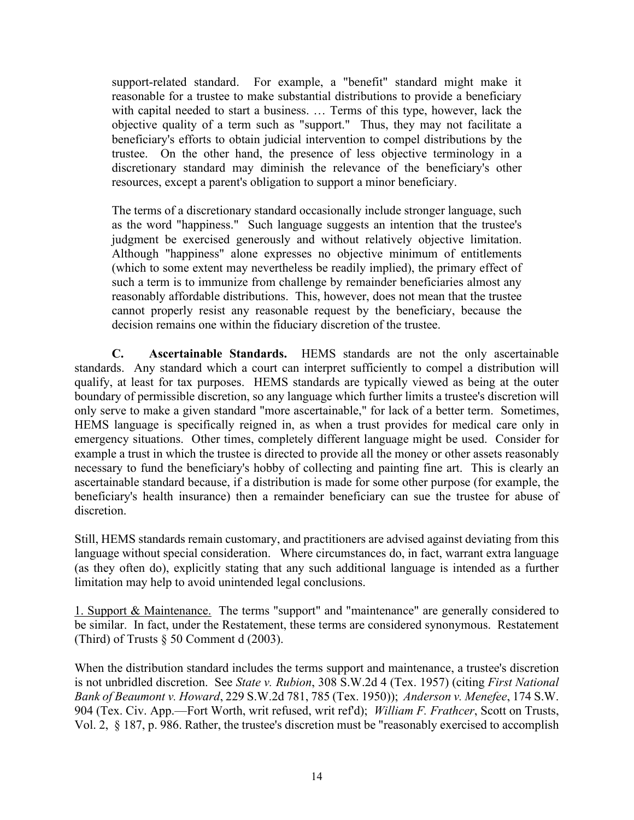support-related standard. For example, a "benefit" standard might make it reasonable for a trustee to make substantial distributions to provide a beneficiary with capital needed to start a business. … Terms of this type, however, lack the objective quality of a term such as "support." Thus, they may not facilitate a beneficiary's efforts to obtain judicial intervention to compel distributions by the trustee. On the other hand, the presence of less objective terminology in a discretionary standard may diminish the relevance of the beneficiary's other resources, except a parent's obligation to support a minor beneficiary.

The terms of a discretionary standard occasionally include stronger language, such as the word "happiness." Such language suggests an intention that the trustee's judgment be exercised generously and without relatively objective limitation. Although "happiness" alone expresses no objective minimum of entitlements (which to some extent may nevertheless be readily implied), the primary effect of such a term is to immunize from challenge by remainder beneficiaries almost any reasonably affordable distributions. This, however, does not mean that the trustee cannot properly resist any reasonable request by the beneficiary, because the decision remains one within the fiduciary discretion of the trustee.

<span id="page-16-0"></span>**C. Ascertainable Standards.** HEMS standards are not the only ascertainable standards. Any standard which a court can interpret sufficiently to compel a distribution will qualify, at least for tax purposes. HEMS standards are typically viewed as being at the outer boundary of permissible discretion, so any language which further limits a trustee's discretion will only serve to make a given standard "more ascertainable," for lack of a better term. Sometimes, HEMS language is specifically reigned in, as when a trust provides for medical care only in emergency situations. Other times, completely different language might be used. Consider for example a trust in which the trustee is directed to provide all the money or other assets reasonably necessary to fund the beneficiary's hobby of collecting and painting fine art. This is clearly an ascertainable standard because, if a distribution is made for some other purpose (for example, the beneficiary's health insurance) then a remainder beneficiary can sue the trustee for abuse of discretion.

Still, HEMS standards remain customary, and practitioners are advised against deviating from this language without special consideration. Where circumstances do, in fact, warrant extra language (as they often do), explicitly stating that any such additional language is intended as a further limitation may help to avoid unintended legal conclusions.

1. Support & Maintenance. The terms "support" and "maintenance" are generally considered to be similar. In fact, under the Restatement, these terms are considered synonymous. Restatement (Third) of Trusts § 50 Comment d (2003).

When the distribution standard includes the terms support and maintenance, a trustee's discretion is not unbridled discretion. See *State v. Rubion*, 308 S.W.2d 4 (Tex. 1957) (citing *First National Bank of Beaumont v. Howard*, 229 S.W.2d 781, 785 (Tex. 1950)); *Anderson v. Menefee*, 174 S.W. 904 (Tex. Civ. App.—Fort Worth, writ refused, writ ref'd); *William F. Frathcer*, Scott on Trusts, Vol. 2, § 187, p. 986. Rather, the trustee's discretion must be "reasonably exercised to accomplish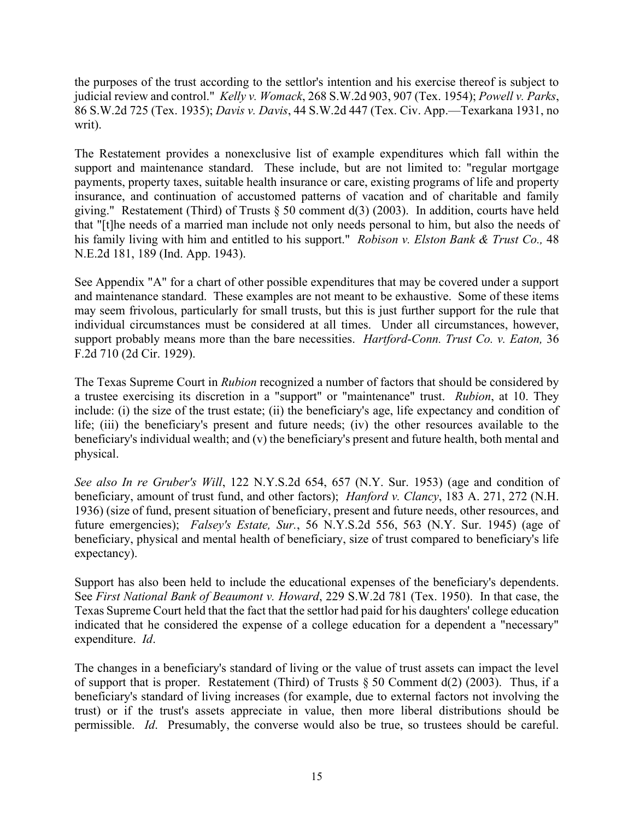the purposes of the trust according to the settlor's intention and his exercise thereof is subject to judicial review and control." *Kelly v. Womack*, 268 S.W.2d 903, 907 (Tex. 1954); *Powell v. Parks*, 86 S.W.2d 725 (Tex. 1935); *Davis v. Davis*, 44 S.W.2d 447 (Tex. Civ. App.—Texarkana 1931, no writ).

The Restatement provides a nonexclusive list of example expenditures which fall within the support and maintenance standard. These include, but are not limited to: "regular mortgage payments, property taxes, suitable health insurance or care, existing programs of life and property insurance, and continuation of accustomed patterns of vacation and of charitable and family giving." Restatement (Third) of Trusts § 50 comment d(3) (2003). In addition, courts have held that "[t]he needs of a married man include not only needs personal to him, but also the needs of his family living with him and entitled to his support." *Robison v. Elston Bank & Trust Co.,* 48 N.E.2d 181, 189 (Ind. App. 1943).

See Appendix "A" for a chart of other possible expenditures that may be covered under a support and maintenance standard. These examples are not meant to be exhaustive. Some of these items may seem frivolous, particularly for small trusts, but this is just further support for the rule that individual circumstances must be considered at all times. Under all circumstances, however, support probably means more than the bare necessities. *Hartford-Conn. Trust Co. v. Eaton,* 36 F.2d 710 (2d Cir. 1929).

The Texas Supreme Court in *Rubion* recognized a number of factors that should be considered by a trustee exercising its discretion in a "support" or "maintenance" trust. *Rubion*, at 10. They include: (i) the size of the trust estate; (ii) the beneficiary's age, life expectancy and condition of life; (iii) the beneficiary's present and future needs; (iv) the other resources available to the beneficiary's individual wealth; and (v) the beneficiary's present and future health, both mental and physical.

*See also In re Gruber's Will*, 122 N.Y.S.2d 654, 657 (N.Y. Sur. 1953) (age and condition of beneficiary, amount of trust fund, and other factors); *Hanford v. Clancy*, 183 A. 271, 272 (N.H. 1936) (size of fund, present situation of beneficiary, present and future needs, other resources, and future emergencies); *Falsey's Estate, Sur.*, 56 N.Y.S.2d 556, 563 (N.Y. Sur. 1945) (age of beneficiary, physical and mental health of beneficiary, size of trust compared to beneficiary's life expectancy).

Support has also been held to include the educational expenses of the beneficiary's dependents. See *First National Bank of Beaumont v. Howard*, 229 S.W.2d 781 (Tex. 1950). In that case, the Texas Supreme Court held that the fact that the settlor had paid for his daughters' college education indicated that he considered the expense of a college education for a dependent a "necessary" expenditure. *Id*.

The changes in a beneficiary's standard of living or the value of trust assets can impact the level of support that is proper. Restatement (Third) of Trusts  $\S 50$  Comment d(2) (2003). Thus, if a beneficiary's standard of living increases (for example, due to external factors not involving the trust) or if the trust's assets appreciate in value, then more liberal distributions should be permissible. *Id*. Presumably, the converse would also be true, so trustees should be careful.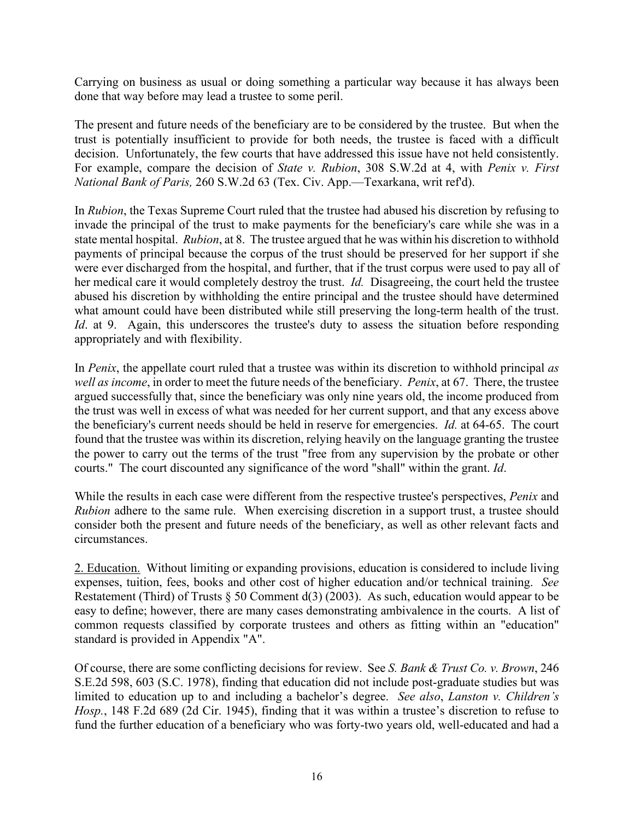Carrying on business as usual or doing something a particular way because it has always been done that way before may lead a trustee to some peril.

The present and future needs of the beneficiary are to be considered by the trustee. But when the trust is potentially insufficient to provide for both needs, the trustee is faced with a difficult decision. Unfortunately, the few courts that have addressed this issue have not held consistently. For example, compare the decision of *State v. Rubion*, 308 S.W.2d at 4, with *Penix v. First National Bank of Paris,* 260 S.W.2d 63 (Tex. Civ. App.—Texarkana, writ ref'd).

In *Rubion*, the Texas Supreme Court ruled that the trustee had abused his discretion by refusing to invade the principal of the trust to make payments for the beneficiary's care while she was in a state mental hospital. *Rubion*, at 8. The trustee argued that he was within his discretion to withhold payments of principal because the corpus of the trust should be preserved for her support if she were ever discharged from the hospital, and further, that if the trust corpus were used to pay all of her medical care it would completely destroy the trust. *Id.* Disagreeing, the court held the trustee abused his discretion by withholding the entire principal and the trustee should have determined what amount could have been distributed while still preserving the long-term health of the trust. *Id.* at 9. Again, this underscores the trustee's duty to assess the situation before responding appropriately and with flexibility.

In *Penix*, the appellate court ruled that a trustee was within its discretion to withhold principal *as well as income*, in order to meet the future needs of the beneficiary. *Penix*, at 67. There, the trustee argued successfully that, since the beneficiary was only nine years old, the income produced from the trust was well in excess of what was needed for her current support, and that any excess above the beneficiary's current needs should be held in reserve for emergencies. *Id.* at 64-65. The court found that the trustee was within its discretion, relying heavily on the language granting the trustee the power to carry out the terms of the trust "free from any supervision by the probate or other courts." The court discounted any significance of the word "shall" within the grant. *Id*.

While the results in each case were different from the respective trustee's perspectives, *Penix* and *Rubion* adhere to the same rule. When exercising discretion in a support trust, a trustee should consider both the present and future needs of the beneficiary, as well as other relevant facts and circumstances.

2. Education. Without limiting or expanding provisions, education is considered to include living expenses, tuition, fees, books and other cost of higher education and/or technical training. *See*  Restatement (Third) of Trusts § 50 Comment  $d(3)$  (2003). As such, education would appear to be easy to define; however, there are many cases demonstrating ambivalence in the courts. A list of common requests classified by corporate trustees and others as fitting within an "education" standard is provided in Appendix "A".

Of course, there are some conflicting decisions for review. See *S. Bank & Trust Co. v. Brown*, 246 S.E.2d 598, 603 (S.C. 1978), finding that education did not include post-graduate studies but was limited to education up to and including a bachelor's degree. *See also*, *Lanston v. Children's Hosp.*, 148 F.2d 689 (2d Cir. 1945), finding that it was within a trustee's discretion to refuse to fund the further education of a beneficiary who was forty-two years old, well-educated and had a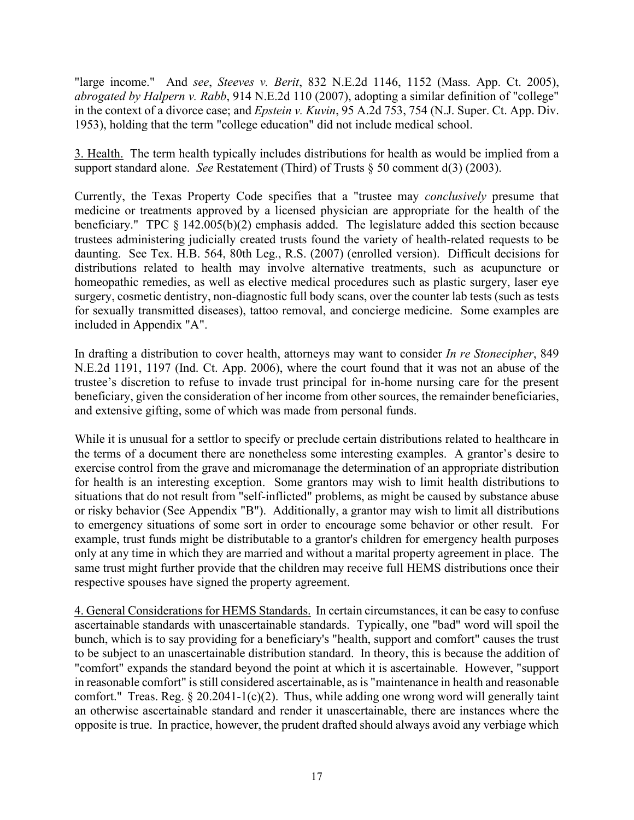"large income." And *see*, *Steeves v. Berit*, 832 N.E.2d 1146, 1152 (Mass. App. Ct. 2005), *abrogated by Halpern v. Rabb*, 914 N.E.2d 110 (2007), adopting a similar definition of "college" in the context of a divorce case; and *Epstein v. Kuvin*, 95 A.2d 753, 754 (N.J. Super. Ct. App. Div. 1953), holding that the term "college education" did not include medical school.

3. Health. The term health typically includes distributions for health as would be implied from a support standard alone. *See* Restatement (Third) of Trusts § 50 comment d(3) (2003).

Currently, the Texas Property Code specifies that a "trustee may *conclusively* presume that medicine or treatments approved by a licensed physician are appropriate for the health of the beneficiary." TPC § 142.005(b)(2) emphasis added. The legislature added this section because trustees administering judicially created trusts found the variety of health-related requests to be daunting. See Tex. H.B. 564, 80th Leg., R.S. (2007) (enrolled version). Difficult decisions for distributions related to health may involve alternative treatments, such as acupuncture or homeopathic remedies, as well as elective medical procedures such as plastic surgery, laser eye surgery, cosmetic dentistry, non-diagnostic full body scans, over the counter lab tests (such as tests for sexually transmitted diseases), tattoo removal, and concierge medicine. Some examples are included in Appendix "A".

In drafting a distribution to cover health, attorneys may want to consider *In re Stonecipher*, 849 N.E.2d 1191, 1197 (Ind. Ct. App. 2006), where the court found that it was not an abuse of the trustee's discretion to refuse to invade trust principal for in-home nursing care for the present beneficiary, given the consideration of her income from other sources, the remainder beneficiaries, and extensive gifting, some of which was made from personal funds.

While it is unusual for a settlor to specify or preclude certain distributions related to healthcare in the terms of a document there are nonetheless some interesting examples. A grantor's desire to exercise control from the grave and micromanage the determination of an appropriate distribution for health is an interesting exception. Some grantors may wish to limit health distributions to situations that do not result from "self-inflicted" problems, as might be caused by substance abuse or risky behavior (See Appendix "B"). Additionally, a grantor may wish to limit all distributions to emergency situations of some sort in order to encourage some behavior or other result. For example, trust funds might be distributable to a grantor's children for emergency health purposes only at any time in which they are married and without a marital property agreement in place. The same trust might further provide that the children may receive full HEMS distributions once their respective spouses have signed the property agreement.

4. General Considerations for HEMS Standards. In certain circumstances, it can be easy to confuse ascertainable standards with unascertainable standards. Typically, one "bad" word will spoil the bunch, which is to say providing for a beneficiary's "health, support and comfort" causes the trust to be subject to an unascertainable distribution standard. In theory, this is because the addition of "comfort" expands the standard beyond the point at which it is ascertainable. However, "support in reasonable comfort" is still considered ascertainable, as is "maintenance in health and reasonable comfort." Treas. Reg.  $\S 20.2041 - 1(c)(2)$ . Thus, while adding one wrong word will generally taint an otherwise ascertainable standard and render it unascertainable, there are instances where the opposite is true. In practice, however, the prudent drafted should always avoid any verbiage which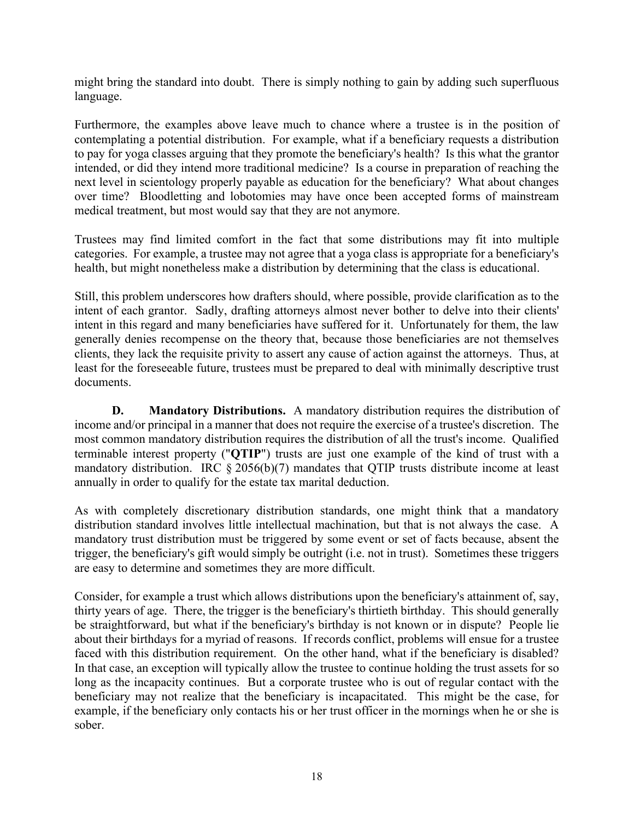might bring the standard into doubt. There is simply nothing to gain by adding such superfluous language.

Furthermore, the examples above leave much to chance where a trustee is in the position of contemplating a potential distribution. For example, what if a beneficiary requests a distribution to pay for yoga classes arguing that they promote the beneficiary's health? Is this what the grantor intended, or did they intend more traditional medicine? Is a course in preparation of reaching the next level in scientology properly payable as education for the beneficiary? What about changes over time? Bloodletting and lobotomies may have once been accepted forms of mainstream medical treatment, but most would say that they are not anymore.

Trustees may find limited comfort in the fact that some distributions may fit into multiple categories. For example, a trustee may not agree that a yoga class is appropriate for a beneficiary's health, but might nonetheless make a distribution by determining that the class is educational.

Still, this problem underscores how drafters should, where possible, provide clarification as to the intent of each grantor. Sadly, drafting attorneys almost never bother to delve into their clients' intent in this regard and many beneficiaries have suffered for it. Unfortunately for them, the law generally denies recompense on the theory that, because those beneficiaries are not themselves clients, they lack the requisite privity to assert any cause of action against the attorneys. Thus, at least for the foreseeable future, trustees must be prepared to deal with minimally descriptive trust documents.

<span id="page-20-0"></span>**D. Mandatory Distributions.** A mandatory distribution requires the distribution of income and/or principal in a manner that does not require the exercise of a trustee's discretion. The most common mandatory distribution requires the distribution of all the trust's income. Qualified terminable interest property ("**QTIP**") trusts are just one example of the kind of trust with a mandatory distribution. IRC  $\S 2056(b)(7)$  mandates that QTIP trusts distribute income at least annually in order to qualify for the estate tax marital deduction.

As with completely discretionary distribution standards, one might think that a mandatory distribution standard involves little intellectual machination, but that is not always the case. A mandatory trust distribution must be triggered by some event or set of facts because, absent the trigger, the beneficiary's gift would simply be outright (i.e. not in trust). Sometimes these triggers are easy to determine and sometimes they are more difficult.

Consider, for example a trust which allows distributions upon the beneficiary's attainment of, say, thirty years of age. There, the trigger is the beneficiary's thirtieth birthday. This should generally be straightforward, but what if the beneficiary's birthday is not known or in dispute? People lie about their birthdays for a myriad of reasons. If records conflict, problems will ensue for a trustee faced with this distribution requirement. On the other hand, what if the beneficiary is disabled? In that case, an exception will typically allow the trustee to continue holding the trust assets for so long as the incapacity continues. But a corporate trustee who is out of regular contact with the beneficiary may not realize that the beneficiary is incapacitated. This might be the case, for example, if the beneficiary only contacts his or her trust officer in the mornings when he or she is sober.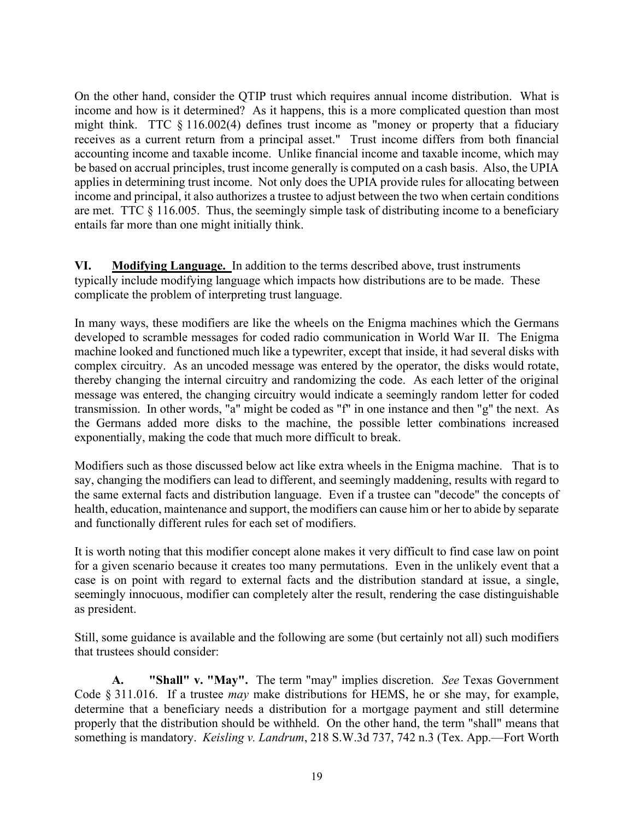On the other hand, consider the QTIP trust which requires annual income distribution. What is income and how is it determined? As it happens, this is a more complicated question than most might think. TTC § 116.002(4) defines trust income as "money or property that a fiduciary receives as a current return from a principal asset." Trust income differs from both financial accounting income and taxable income. Unlike financial income and taxable income, which may be based on accrual principles, trust income generally is computed on a cash basis. Also, the UPIA applies in determining trust income. Not only does the UPIA provide rules for allocating between income and principal, it also authorizes a trustee to adjust between the two when certain conditions are met. TTC § 116.005. Thus, the seemingly simple task of distributing income to a beneficiary entails far more than one might initially think.

<span id="page-21-0"></span>**VI. Modifying Language.** In addition to the terms described above, trust instruments typically include modifying language which impacts how distributions are to be made. These complicate the problem of interpreting trust language.

In many ways, these modifiers are like the wheels on the Enigma machines which the Germans developed to scramble messages for coded radio communication in World War II. The Enigma machine looked and functioned much like a typewriter, except that inside, it had several disks with complex circuitry. As an uncoded message was entered by the operator, the disks would rotate, thereby changing the internal circuitry and randomizing the code. As each letter of the original message was entered, the changing circuitry would indicate a seemingly random letter for coded transmission. In other words, "a" might be coded as "f" in one instance and then "g" the next. As the Germans added more disks to the machine, the possible letter combinations increased exponentially, making the code that much more difficult to break.

Modifiers such as those discussed below act like extra wheels in the Enigma machine. That is to say, changing the modifiers can lead to different, and seemingly maddening, results with regard to the same external facts and distribution language. Even if a trustee can "decode" the concepts of health, education, maintenance and support, the modifiers can cause him or her to abide by separate and functionally different rules for each set of modifiers.

It is worth noting that this modifier concept alone makes it very difficult to find case law on point for a given scenario because it creates too many permutations. Even in the unlikely event that a case is on point with regard to external facts and the distribution standard at issue, a single, seemingly innocuous, modifier can completely alter the result, rendering the case distinguishable as president.

Still, some guidance is available and the following are some (but certainly not all) such modifiers that trustees should consider:

<span id="page-21-1"></span>**A. "Shall" v. "May".** The term "may" implies discretion. *See* Texas Government Code § 311.016. If a trustee *may* make distributions for HEMS, he or she may, for example, determine that a beneficiary needs a distribution for a mortgage payment and still determine properly that the distribution should be withheld. On the other hand, the term "shall" means that something is mandatory. *Keisling v. Landrum*, 218 S.W.3d 737, 742 n.3 (Tex. App.—Fort Worth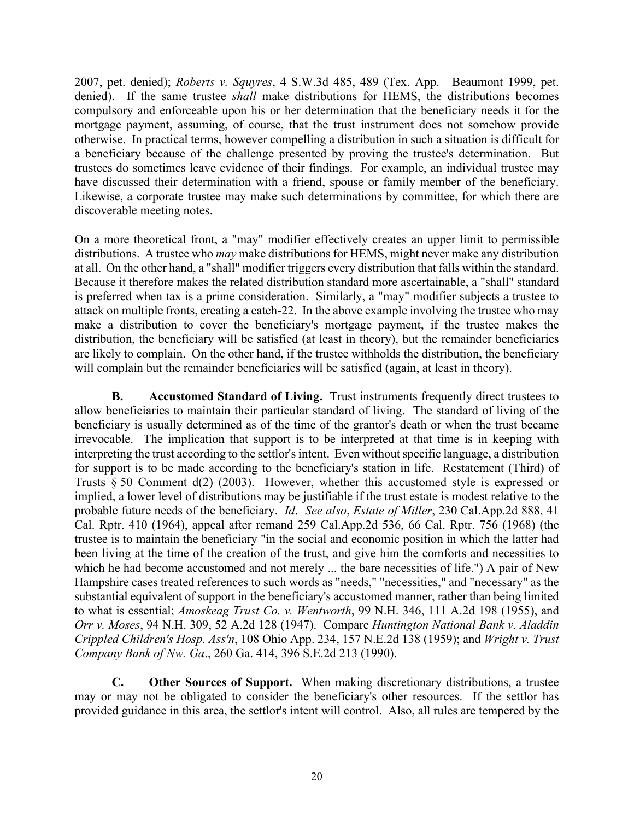2007, pet. denied); *Roberts v. Squyres*, 4 S.W.3d 485, 489 (Tex. App.—Beaumont 1999, pet. denied). If the same trustee *shall* make distributions for HEMS, the distributions becomes compulsory and enforceable upon his or her determination that the beneficiary needs it for the mortgage payment, assuming, of course, that the trust instrument does not somehow provide otherwise. In practical terms, however compelling a distribution in such a situation is difficult for a beneficiary because of the challenge presented by proving the trustee's determination. But trustees do sometimes leave evidence of their findings. For example, an individual trustee may have discussed their determination with a friend, spouse or family member of the beneficiary. Likewise, a corporate trustee may make such determinations by committee, for which there are discoverable meeting notes.

On a more theoretical front, a "may" modifier effectively creates an upper limit to permissible distributions. A trustee who *may* make distributions for HEMS, might never make any distribution at all. On the other hand, a "shall" modifier triggers every distribution that falls within the standard. Because it therefore makes the related distribution standard more ascertainable, a "shall" standard is preferred when tax is a prime consideration. Similarly, a "may" modifier subjects a trustee to attack on multiple fronts, creating a catch-22. In the above example involving the trustee who may make a distribution to cover the beneficiary's mortgage payment, if the trustee makes the distribution, the beneficiary will be satisfied (at least in theory), but the remainder beneficiaries are likely to complain. On the other hand, if the trustee withholds the distribution, the beneficiary will complain but the remainder beneficiaries will be satisfied (again, at least in theory).

<span id="page-22-0"></span>**B. Accustomed Standard of Living.** Trust instruments frequently direct trustees to allow beneficiaries to maintain their particular standard of living. The standard of living of the beneficiary is usually determined as of the time of the grantor's death or when the trust became irrevocable. The implication that support is to be interpreted at that time is in keeping with interpreting the trust according to the settlor's intent. Even without specific language, a distribution for support is to be made according to the beneficiary's station in life. Restatement (Third) of Trusts § 50 Comment d(2) (2003). However, whether this accustomed style is expressed or implied, a lower level of distributions may be justifiable if the trust estate is modest relative to the probable future needs of the beneficiary. *Id*. *See also*, *Estate of Miller*, 230 Cal.App.2d 888, 41 Cal. Rptr. 410 (1964), appeal after remand 259 Cal.App.2d 536, 66 Cal. Rptr. 756 (1968) (the trustee is to maintain the beneficiary "in the social and economic position in which the latter had been living at the time of the creation of the trust, and give him the comforts and necessities to which he had become accustomed and not merely ... the bare necessities of life.") A pair of New Hampshire cases treated references to such words as "needs," "necessities," and "necessary" as the substantial equivalent of support in the beneficiary's accustomed manner, rather than being limited to what is essential; *Amoskeag Trust Co. v. Wentworth*, 99 N.H. 346, 111 A.2d 198 (1955), and *Orr v. Moses*, 94 N.H. 309, 52 A.2d 128 (1947). Compare *Huntington National Bank v. Aladdin Crippled Children's Hosp. Ass'n*, 108 Ohio App. 234, 157 N.E.2d 138 (1959); and *Wright v. Trust Company Bank of Nw. Ga*., 260 Ga. 414, 396 S.E.2d 213 (1990).

<span id="page-22-1"></span>**C. Other Sources of Support.** When making discretionary distributions, a trustee may or may not be obligated to consider the beneficiary's other resources. If the settlor has provided guidance in this area, the settlor's intent will control. Also, all rules are tempered by the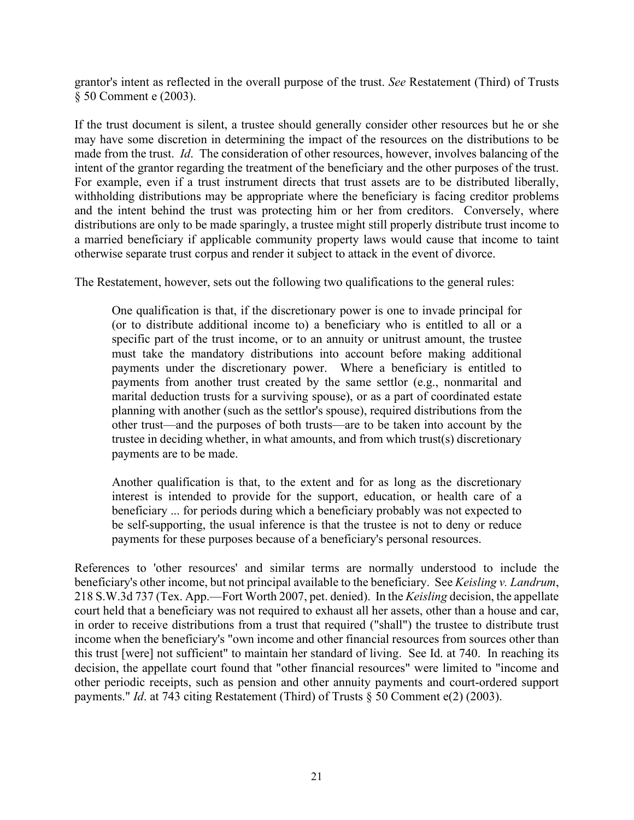grantor's intent as reflected in the overall purpose of the trust. *See* Restatement (Third) of Trusts § 50 Comment e (2003).

If the trust document is silent, a trustee should generally consider other resources but he or she may have some discretion in determining the impact of the resources on the distributions to be made from the trust. *Id*. The consideration of other resources, however, involves balancing of the intent of the grantor regarding the treatment of the beneficiary and the other purposes of the trust. For example, even if a trust instrument directs that trust assets are to be distributed liberally, withholding distributions may be appropriate where the beneficiary is facing creditor problems and the intent behind the trust was protecting him or her from creditors. Conversely, where distributions are only to be made sparingly, a trustee might still properly distribute trust income to a married beneficiary if applicable community property laws would cause that income to taint otherwise separate trust corpus and render it subject to attack in the event of divorce.

The Restatement, however, sets out the following two qualifications to the general rules:

One qualification is that, if the discretionary power is one to invade principal for (or to distribute additional income to) a beneficiary who is entitled to all or a specific part of the trust income, or to an annuity or unitrust amount, the trustee must take the mandatory distributions into account before making additional payments under the discretionary power. Where a beneficiary is entitled to payments from another trust created by the same settlor (e.g., nonmarital and marital deduction trusts for a surviving spouse), or as a part of coordinated estate planning with another (such as the settlor's spouse), required distributions from the other trust—and the purposes of both trusts—are to be taken into account by the trustee in deciding whether, in what amounts, and from which trust(s) discretionary payments are to be made.

Another qualification is that, to the extent and for as long as the discretionary interest is intended to provide for the support, education, or health care of a beneficiary ... for periods during which a beneficiary probably was not expected to be self-supporting, the usual inference is that the trustee is not to deny or reduce payments for these purposes because of a beneficiary's personal resources.

References to 'other resources' and similar terms are normally understood to include the beneficiary's other income, but not principal available to the beneficiary. See *Keisling v. Landrum*, 218 S.W.3d 737 (Tex. App.—Fort Worth 2007, pet. denied). In the *Keisling* decision, the appellate court held that a beneficiary was not required to exhaust all her assets, other than a house and car, in order to receive distributions from a trust that required ("shall") the trustee to distribute trust income when the beneficiary's "own income and other financial resources from sources other than this trust [were] not sufficient" to maintain her standard of living. See Id. at 740. In reaching its decision, the appellate court found that "other financial resources" were limited to "income and other periodic receipts, such as pension and other annuity payments and court-ordered support payments." *Id*. at 743 citing Restatement (Third) of Trusts § 50 Comment e(2) (2003).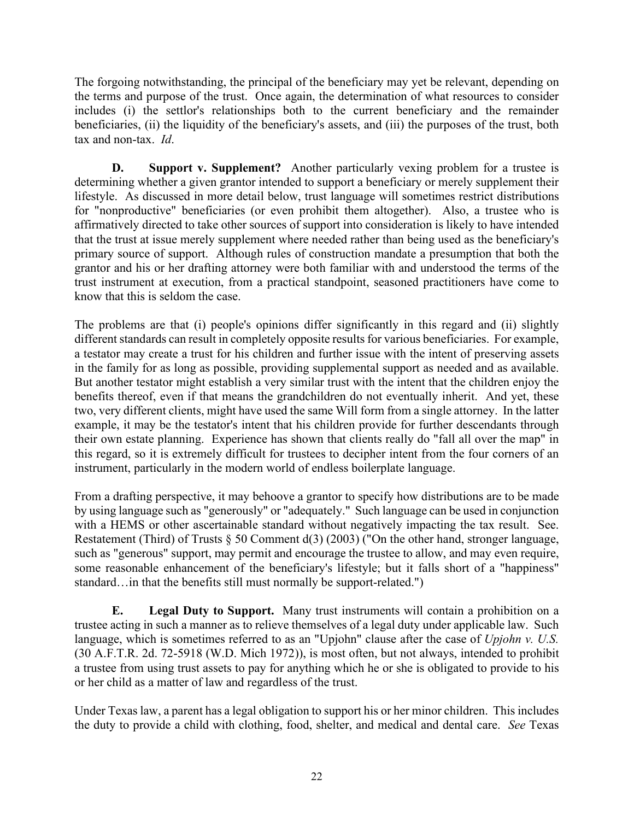The forgoing notwithstanding, the principal of the beneficiary may yet be relevant, depending on the terms and purpose of the trust. Once again, the determination of what resources to consider includes (i) the settlor's relationships both to the current beneficiary and the remainder beneficiaries, (ii) the liquidity of the beneficiary's assets, and (iii) the purposes of the trust, both tax and non-tax. *Id*.

<span id="page-24-0"></span>**D. Support v. Supplement?** Another particularly vexing problem for a trustee is determining whether a given grantor intended to support a beneficiary or merely supplement their lifestyle. As discussed in more detail below, trust language will sometimes restrict distributions for "nonproductive" beneficiaries (or even prohibit them altogether). Also, a trustee who is affirmatively directed to take other sources of support into consideration is likely to have intended that the trust at issue merely supplement where needed rather than being used as the beneficiary's primary source of support. Although rules of construction mandate a presumption that both the grantor and his or her drafting attorney were both familiar with and understood the terms of the trust instrument at execution, from a practical standpoint, seasoned practitioners have come to know that this is seldom the case.

The problems are that (i) people's opinions differ significantly in this regard and (ii) slightly different standards can result in completely opposite results for various beneficiaries. For example, a testator may create a trust for his children and further issue with the intent of preserving assets in the family for as long as possible, providing supplemental support as needed and as available. But another testator might establish a very similar trust with the intent that the children enjoy the benefits thereof, even if that means the grandchildren do not eventually inherit. And yet, these two, very different clients, might have used the same Will form from a single attorney. In the latter example, it may be the testator's intent that his children provide for further descendants through their own estate planning. Experience has shown that clients really do "fall all over the map" in this regard, so it is extremely difficult for trustees to decipher intent from the four corners of an instrument, particularly in the modern world of endless boilerplate language.

From a drafting perspective, it may behoove a grantor to specify how distributions are to be made by using language such as "generously" or "adequately." Such language can be used in conjunction with a HEMS or other ascertainable standard without negatively impacting the tax result. See. Restatement (Third) of Trusts § 50 Comment d(3) (2003) ("On the other hand, stronger language, such as "generous" support, may permit and encourage the trustee to allow, and may even require, some reasonable enhancement of the beneficiary's lifestyle; but it falls short of a "happiness" standard…in that the benefits still must normally be support-related.")

<span id="page-24-1"></span>**E. Legal Duty to Support.** Many trust instruments will contain a prohibition on a trustee acting in such a manner as to relieve themselves of a legal duty under applicable law. Such language, which is sometimes referred to as an "Upjohn" clause after the case of *Upjohn v. U.S.* (30 A.F.T.R. 2d. 72-5918 (W.D. Mich 1972)), is most often, but not always, intended to prohibit a trustee from using trust assets to pay for anything which he or she is obligated to provide to his or her child as a matter of law and regardless of the trust.

Under Texas law, a parent has a legal obligation to support his or her minor children. This includes the duty to provide a child with clothing, food, shelter, and medical and dental care. *See* Texas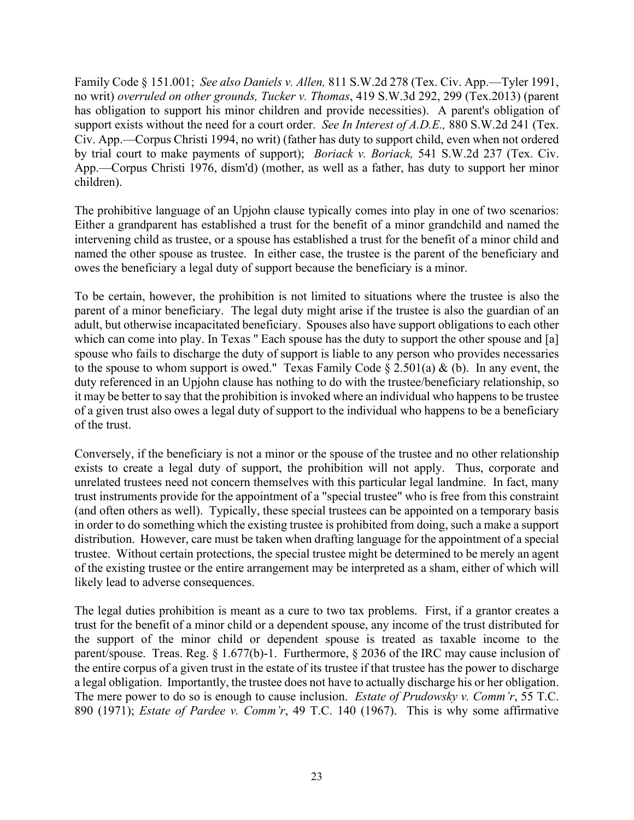Family Code § 151.001; *See also Daniels v. Allen,* 811 S.W.2d 278 (Tex. Civ. App.—Tyler 1991, no writ) *overruled on other grounds, Tucker v. Thomas*, 419 S.W.3d 292, 299 (Tex.2013) (parent has obligation to support his minor children and provide necessities). A parent's obligation of support exists without the need for a court order. *See In Interest of A.D.E.,* 880 S.W.2d 241 (Tex. Civ. App.—Corpus Christi 1994, no writ) (father has duty to support child, even when not ordered by trial court to make payments of support); *Boriack v. Boriack,* 541 S.W.2d 237 (Tex. Civ. App.—Corpus Christi 1976, dism'd) (mother, as well as a father, has duty to support her minor children).

The prohibitive language of an Upjohn clause typically comes into play in one of two scenarios: Either a grandparent has established a trust for the benefit of a minor grandchild and named the intervening child as trustee, or a spouse has established a trust for the benefit of a minor child and named the other spouse as trustee. In either case, the trustee is the parent of the beneficiary and owes the beneficiary a legal duty of support because the beneficiary is a minor.

To be certain, however, the prohibition is not limited to situations where the trustee is also the parent of a minor beneficiary. The legal duty might arise if the trustee is also the guardian of an adult, but otherwise incapacitated beneficiary. Spouses also have support obligations to each other which can come into play. In Texas " Each spouse has the duty to support the other spouse and [a] spouse who fails to discharge the duty of support is liable to any person who provides necessaries to the spouse to whom support is owed." Texas Family Code  $\S 2.501(a) \& (b)$ . In any event, the duty referenced in an Upjohn clause has nothing to do with the trustee/beneficiary relationship, so it may be better to say that the prohibition is invoked where an individual who happens to be trustee of a given trust also owes a legal duty of support to the individual who happens to be a beneficiary of the trust.

Conversely, if the beneficiary is not a minor or the spouse of the trustee and no other relationship exists to create a legal duty of support, the prohibition will not apply. Thus, corporate and unrelated trustees need not concern themselves with this particular legal landmine. In fact, many trust instruments provide for the appointment of a "special trustee" who is free from this constraint (and often others as well). Typically, these special trustees can be appointed on a temporary basis in order to do something which the existing trustee is prohibited from doing, such a make a support distribution. However, care must be taken when drafting language for the appointment of a special trustee. Without certain protections, the special trustee might be determined to be merely an agent of the existing trustee or the entire arrangement may be interpreted as a sham, either of which will likely lead to adverse consequences.

The legal duties prohibition is meant as a cure to two tax problems. First, if a grantor creates a trust for the benefit of a minor child or a dependent spouse, any income of the trust distributed for the support of the minor child or dependent spouse is treated as taxable income to the parent/spouse. Treas. Reg. § 1.677(b)-1. Furthermore, § 2036 of the IRC may cause inclusion of the entire corpus of a given trust in the estate of its trustee if that trustee has the power to discharge a legal obligation. Importantly, the trustee does not have to actually discharge his or her obligation. The mere power to do so is enough to cause inclusion. *Estate of Prudowsky v. Comm'r*, 55 T.C. 890 (1971); *Estate of Pardee v. Comm'r*, 49 T.C. 140 (1967). This is why some affirmative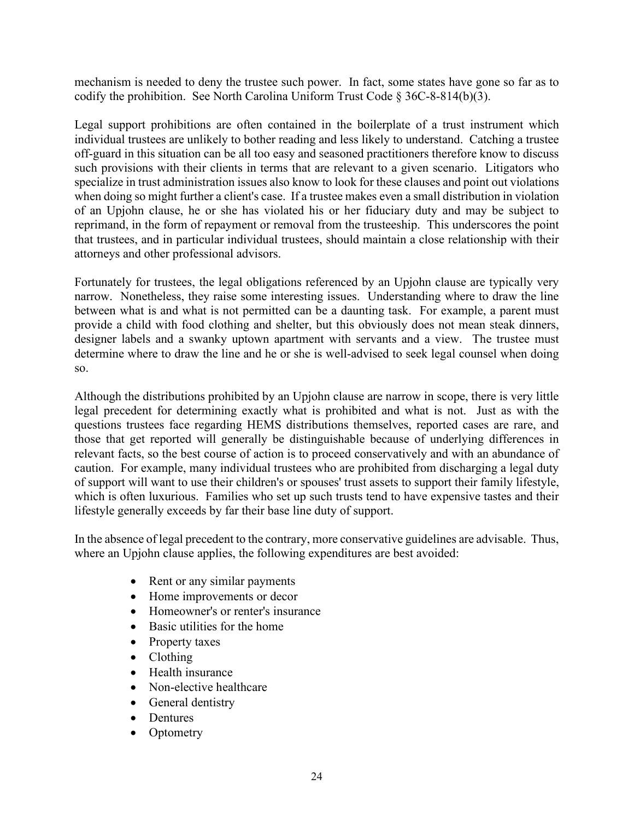mechanism is needed to deny the trustee such power. In fact, some states have gone so far as to codify the prohibition. See North Carolina Uniform Trust Code § 36C-8-814(b)(3).

Legal support prohibitions are often contained in the boilerplate of a trust instrument which individual trustees are unlikely to bother reading and less likely to understand. Catching a trustee off-guard in this situation can be all too easy and seasoned practitioners therefore know to discuss such provisions with their clients in terms that are relevant to a given scenario. Litigators who specialize in trust administration issues also know to look for these clauses and point out violations when doing so might further a client's case. If a trustee makes even a small distribution in violation of an Upjohn clause, he or she has violated his or her fiduciary duty and may be subject to reprimand, in the form of repayment or removal from the trusteeship. This underscores the point that trustees, and in particular individual trustees, should maintain a close relationship with their attorneys and other professional advisors.

Fortunately for trustees, the legal obligations referenced by an Upjohn clause are typically very narrow. Nonetheless, they raise some interesting issues. Understanding where to draw the line between what is and what is not permitted can be a daunting task. For example, a parent must provide a child with food clothing and shelter, but this obviously does not mean steak dinners, designer labels and a swanky uptown apartment with servants and a view. The trustee must determine where to draw the line and he or she is well-advised to seek legal counsel when doing so.

Although the distributions prohibited by an Upjohn clause are narrow in scope, there is very little legal precedent for determining exactly what is prohibited and what is not. Just as with the questions trustees face regarding HEMS distributions themselves, reported cases are rare, and those that get reported will generally be distinguishable because of underlying differences in relevant facts, so the best course of action is to proceed conservatively and with an abundance of caution. For example, many individual trustees who are prohibited from discharging a legal duty of support will want to use their children's or spouses' trust assets to support their family lifestyle, which is often luxurious. Families who set up such trusts tend to have expensive tastes and their lifestyle generally exceeds by far their base line duty of support.

In the absence of legal precedent to the contrary, more conservative guidelines are advisable. Thus, where an Upjohn clause applies, the following expenditures are best avoided:

- Rent or any similar payments
- Home improvements or decor
- Homeowner's or renter's insurance
- Basic utilities for the home
- Property taxes
- Clothing
- Health insurance
- Non-elective healthcare
- General dentistry
- Dentures
- Optometry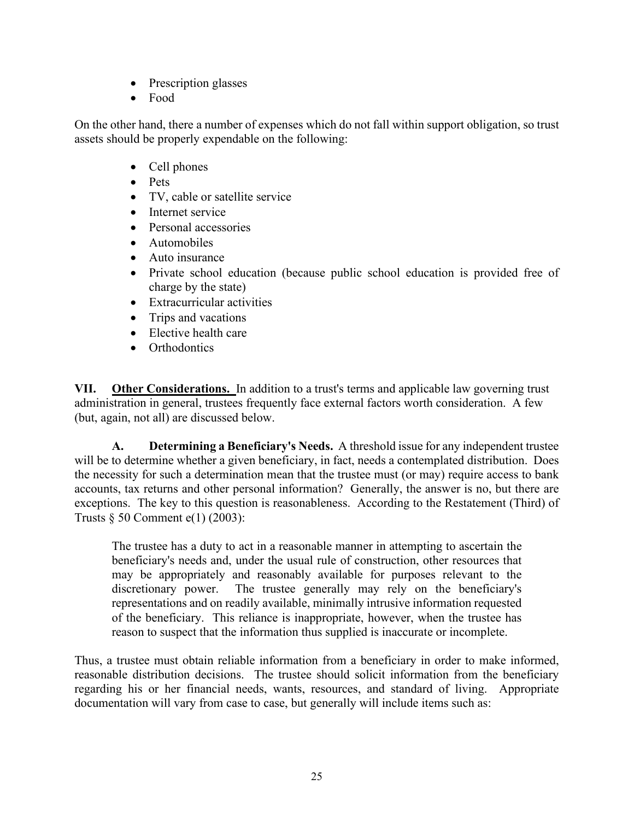- Prescription glasses
- Food

On the other hand, there a number of expenses which do not fall within support obligation, so trust assets should be properly expendable on the following:

- Cell phones
- Pets
- TV, cable or satellite service
- Internet service
- Personal accessories
- Automobiles
- Auto insurance
- Private school education (because public school education is provided free of charge by the state)
- Extracurricular activities
- Trips and vacations
- Elective health care
- Orthodontics

<span id="page-27-0"></span>**VII. Other Considerations.** In addition to a trust's terms and applicable law governing trust administration in general, trustees frequently face external factors worth consideration. A few (but, again, not all) are discussed below.

<span id="page-27-1"></span>**A. Determining a Beneficiary's Needs.** A threshold issue for any independent trustee will be to determine whether a given beneficiary, in fact, needs a contemplated distribution. Does the necessity for such a determination mean that the trustee must (or may) require access to bank accounts, tax returns and other personal information? Generally, the answer is no, but there are exceptions. The key to this question is reasonableness. According to the Restatement (Third) of Trusts § 50 Comment e(1) (2003):

The trustee has a duty to act in a reasonable manner in attempting to ascertain the beneficiary's needs and, under the usual rule of construction, other resources that may be appropriately and reasonably available for purposes relevant to the discretionary power. The trustee generally may rely on the beneficiary's representations and on readily available, minimally intrusive information requested of the beneficiary. This reliance is inappropriate, however, when the trustee has reason to suspect that the information thus supplied is inaccurate or incomplete.

Thus, a trustee must obtain reliable information from a beneficiary in order to make informed, reasonable distribution decisions. The trustee should solicit information from the beneficiary regarding his or her financial needs, wants, resources, and standard of living. Appropriate documentation will vary from case to case, but generally will include items such as: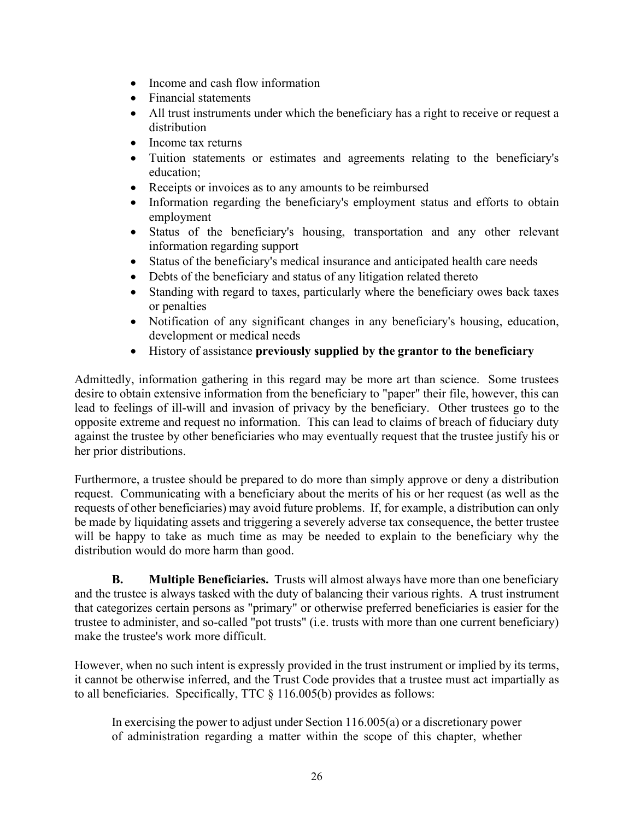- Income and cash flow information
- Financial statements
- All trust instruments under which the beneficiary has a right to receive or request a distribution
- Income tax returns
- Tuition statements or estimates and agreements relating to the beneficiary's education;
- Receipts or invoices as to any amounts to be reimbursed
- Information regarding the beneficiary's employment status and efforts to obtain employment
- Status of the beneficiary's housing, transportation and any other relevant information regarding support
- Status of the beneficiary's medical insurance and anticipated health care needs
- Debts of the beneficiary and status of any litigation related thereto
- Standing with regard to taxes, particularly where the beneficiary owes back taxes or penalties
- Notification of any significant changes in any beneficiary's housing, education, development or medical needs
- History of assistance **previously supplied by the grantor to the beneficiary**

Admittedly, information gathering in this regard may be more art than science. Some trustees desire to obtain extensive information from the beneficiary to "paper" their file, however, this can lead to feelings of ill-will and invasion of privacy by the beneficiary. Other trustees go to the opposite extreme and request no information. This can lead to claims of breach of fiduciary duty against the trustee by other beneficiaries who may eventually request that the trustee justify his or her prior distributions.

Furthermore, a trustee should be prepared to do more than simply approve or deny a distribution request. Communicating with a beneficiary about the merits of his or her request (as well as the requests of other beneficiaries) may avoid future problems. If, for example, a distribution can only be made by liquidating assets and triggering a severely adverse tax consequence, the better trustee will be happy to take as much time as may be needed to explain to the beneficiary why the distribution would do more harm than good.

<span id="page-28-0"></span>**B. Multiple Beneficiaries.** Trusts will almost always have more than one beneficiary and the trustee is always tasked with the duty of balancing their various rights. A trust instrument that categorizes certain persons as "primary" or otherwise preferred beneficiaries is easier for the trustee to administer, and so-called "pot trusts" (i.e. trusts with more than one current beneficiary) make the trustee's work more difficult.

However, when no such intent is expressly provided in the trust instrument or implied by its terms, it cannot be otherwise inferred, and the Trust Code provides that a trustee must act impartially as to all beneficiaries. Specifically, TTC § 116.005(b) provides as follows:

In exercising the power to adjust under Section 116.005(a) or a discretionary power of administration regarding a matter within the scope of this chapter, whether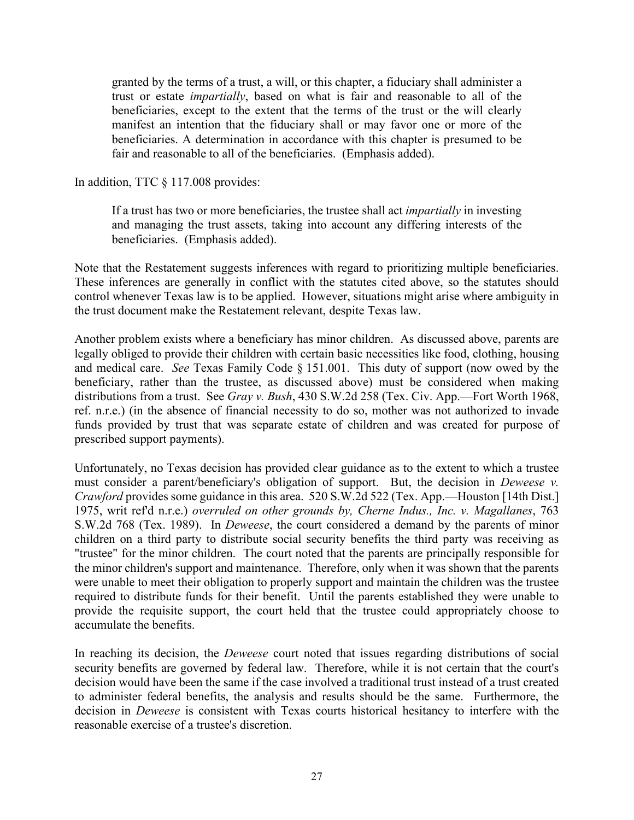granted by the terms of a trust, a will, or this chapter, a fiduciary shall administer a trust or estate *impartially*, based on what is fair and reasonable to all of the beneficiaries, except to the extent that the terms of the trust or the will clearly manifest an intention that the fiduciary shall or may favor one or more of the beneficiaries. A determination in accordance with this chapter is presumed to be fair and reasonable to all of the beneficiaries. (Emphasis added).

In addition, TTC § 117.008 provides:

If a trust has two or more beneficiaries, the trustee shall act *impartially* in investing and managing the trust assets, taking into account any differing interests of the beneficiaries. (Emphasis added).

Note that the Restatement suggests inferences with regard to prioritizing multiple beneficiaries. These inferences are generally in conflict with the statutes cited above, so the statutes should control whenever Texas law is to be applied. However, situations might arise where ambiguity in the trust document make the Restatement relevant, despite Texas law.

Another problem exists where a beneficiary has minor children. As discussed above, parents are legally obliged to provide their children with certain basic necessities like food, clothing, housing and medical care. *See* Texas Family Code § 151.001. This duty of support (now owed by the beneficiary, rather than the trustee, as discussed above) must be considered when making distributions from a trust. See *Gray v. Bush*, 430 S.W.2d 258 (Tex. Civ. App.—Fort Worth 1968, ref. n.r.e.) (in the absence of financial necessity to do so, mother was not authorized to invade funds provided by trust that was separate estate of children and was created for purpose of prescribed support payments).

Unfortunately, no Texas decision has provided clear guidance as to the extent to which a trustee must consider a parent/beneficiary's obligation of support. But, the decision in *Deweese v. Crawford* provides some guidance in this area. 520 S.W.2d 522 (Tex. App.—Houston [14th Dist.] 1975, writ ref'd n.r.e.) *overruled on other grounds by, Cherne Indus., Inc. v. Magallanes*, 763 S.W.2d 768 (Tex. 1989). In *Deweese*, the court considered a demand by the parents of minor children on a third party to distribute social security benefits the third party was receiving as "trustee" for the minor children. The court noted that the parents are principally responsible for the minor children's support and maintenance. Therefore, only when it was shown that the parents were unable to meet their obligation to properly support and maintain the children was the trustee required to distribute funds for their benefit. Until the parents established they were unable to provide the requisite support, the court held that the trustee could appropriately choose to accumulate the benefits.

In reaching its decision, the *Deweese* court noted that issues regarding distributions of social security benefits are governed by federal law. Therefore, while it is not certain that the court's decision would have been the same if the case involved a traditional trust instead of a trust created to administer federal benefits, the analysis and results should be the same. Furthermore, the decision in *Deweese* is consistent with Texas courts historical hesitancy to interfere with the reasonable exercise of a trustee's discretion.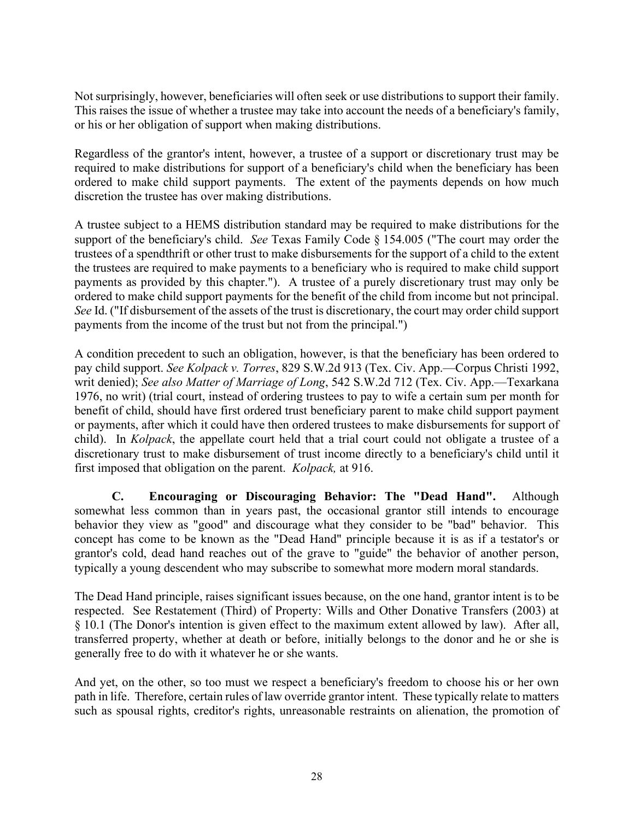Not surprisingly, however, beneficiaries will often seek or use distributions to support their family. This raises the issue of whether a trustee may take into account the needs of a beneficiary's family, or his or her obligation of support when making distributions.

Regardless of the grantor's intent, however, a trustee of a support or discretionary trust may be required to make distributions for support of a beneficiary's child when the beneficiary has been ordered to make child support payments. The extent of the payments depends on how much discretion the trustee has over making distributions.

A trustee subject to a HEMS distribution standard may be required to make distributions for the support of the beneficiary's child. *See* Texas Family Code § 154.005 ("The court may order the trustees of a spendthrift or other trust to make disbursements for the support of a child to the extent the trustees are required to make payments to a beneficiary who is required to make child support payments as provided by this chapter."). A trustee of a purely discretionary trust may only be ordered to make child support payments for the benefit of the child from income but not principal. *See* Id. ("If disbursement of the assets of the trust is discretionary, the court may order child support payments from the income of the trust but not from the principal.")

A condition precedent to such an obligation, however, is that the beneficiary has been ordered to pay child support. *See Kolpack v. Torres*, 829 S.W.2d 913 (Tex. Civ. App.—Corpus Christi 1992, writ denied); *See also Matter of Marriage of Long*, 542 S.W.2d 712 (Tex. Civ. App.—Texarkana 1976, no writ) (trial court, instead of ordering trustees to pay to wife a certain sum per month for benefit of child, should have first ordered trust beneficiary parent to make child support payment or payments, after which it could have then ordered trustees to make disbursements for support of child). In *Kolpack*, the appellate court held that a trial court could not obligate a trustee of a discretionary trust to make disbursement of trust income directly to a beneficiary's child until it first imposed that obligation on the parent. *Kolpack,* at 916.

<span id="page-30-0"></span>**C. Encouraging or Discouraging Behavior: The "Dead Hand".** Although somewhat less common than in years past, the occasional grantor still intends to encourage behavior they view as "good" and discourage what they consider to be "bad" behavior. This concept has come to be known as the "Dead Hand" principle because it is as if a testator's or grantor's cold, dead hand reaches out of the grave to "guide" the behavior of another person, typically a young descendent who may subscribe to somewhat more modern moral standards.

The Dead Hand principle, raises significant issues because, on the one hand, grantor intent is to be respected. See Restatement (Third) of Property: Wills and Other Donative Transfers (2003) at § 10.1 (The Donor's intention is given effect to the maximum extent allowed by law). After all, transferred property, whether at death or before, initially belongs to the donor and he or she is generally free to do with it whatever he or she wants.

And yet, on the other, so too must we respect a beneficiary's freedom to choose his or her own path in life. Therefore, certain rules of law override grantor intent. These typically relate to matters such as spousal rights, creditor's rights, unreasonable restraints on alienation, the promotion of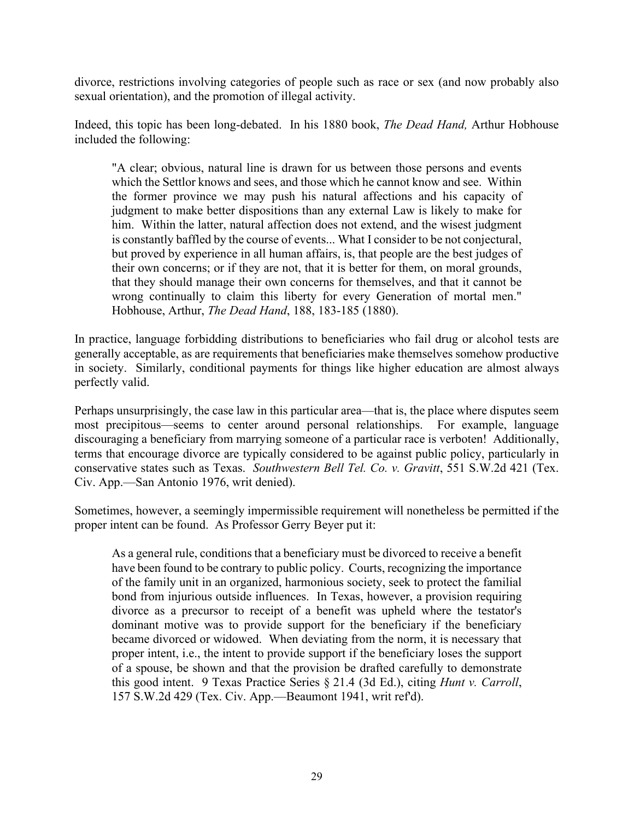divorce, restrictions involving categories of people such as race or sex (and now probably also sexual orientation), and the promotion of illegal activity.

Indeed, this topic has been long-debated. In his 1880 book, *The Dead Hand,* Arthur Hobhouse included the following:

"A clear; obvious, natural line is drawn for us between those persons and events which the Settlor knows and sees, and those which he cannot know and see. Within the former province we may push his natural affections and his capacity of judgment to make better dispositions than any external Law is likely to make for him. Within the latter, natural affection does not extend, and the wisest judgment is constantly baffled by the course of events... What I consider to be not conjectural, but proved by experience in all human affairs, is, that people are the best judges of their own concerns; or if they are not, that it is better for them, on moral grounds, that they should manage their own concerns for themselves, and that it cannot be wrong continually to claim this liberty for every Generation of mortal men." Hobhouse, Arthur, *The Dead Hand*, 188, 183-185 (1880).

In practice, language forbidding distributions to beneficiaries who fail drug or alcohol tests are generally acceptable, as are requirements that beneficiaries make themselves somehow productive in society. Similarly, conditional payments for things like higher education are almost always perfectly valid.

Perhaps unsurprisingly, the case law in this particular area—that is, the place where disputes seem most precipitous—seems to center around personal relationships. For example, language discouraging a beneficiary from marrying someone of a particular race is verboten! Additionally, terms that encourage divorce are typically considered to be against public policy, particularly in conservative states such as Texas. *Southwestern Bell Tel. Co. v. Gravitt*, 551 S.W.2d 421 (Tex. Civ. App.—San Antonio 1976, writ denied).

Sometimes, however, a seemingly impermissible requirement will nonetheless be permitted if the proper intent can be found. As Professor Gerry Beyer put it:

As a general rule, conditions that a beneficiary must be divorced to receive a benefit have been found to be contrary to public policy. Courts, recognizing the importance of the family unit in an organized, harmonious society, seek to protect the familial bond from injurious outside influences. In Texas, however, a provision requiring divorce as a precursor to receipt of a benefit was upheld where the testator's dominant motive was to provide support for the beneficiary if the beneficiary became divorced or widowed. When deviating from the norm, it is necessary that proper intent, i.e., the intent to provide support if the beneficiary loses the support of a spouse, be shown and that the provision be drafted carefully to demonstrate this good intent. 9 Texas Practice Series § 21.4 (3d Ed.), citing *Hunt v. Carroll*, 157 S.W.2d 429 (Tex. Civ. App.—Beaumont 1941, writ ref'd).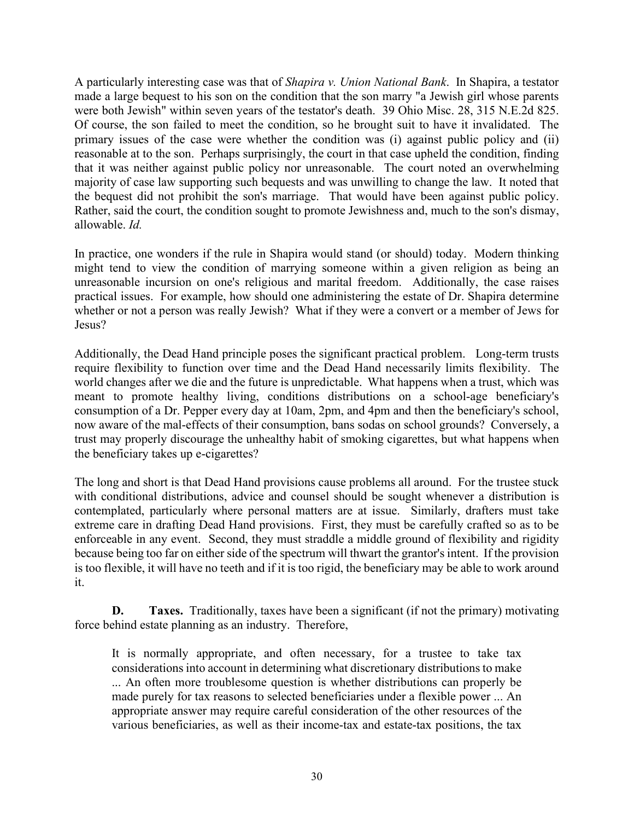A particularly interesting case was that of *Shapira v. Union National Bank*. In Shapira, a testator made a large bequest to his son on the condition that the son marry "a Jewish girl whose parents were both Jewish" within seven years of the testator's death. 39 Ohio Misc. 28, 315 N.E.2d 825. Of course, the son failed to meet the condition, so he brought suit to have it invalidated. The primary issues of the case were whether the condition was (i) against public policy and (ii) reasonable at to the son. Perhaps surprisingly, the court in that case upheld the condition, finding that it was neither against public policy nor unreasonable. The court noted an overwhelming majority of case law supporting such bequests and was unwilling to change the law. It noted that the bequest did not prohibit the son's marriage. That would have been against public policy. Rather, said the court, the condition sought to promote Jewishness and, much to the son's dismay, allowable. *Id.*

In practice, one wonders if the rule in Shapira would stand (or should) today. Modern thinking might tend to view the condition of marrying someone within a given religion as being an unreasonable incursion on one's religious and marital freedom. Additionally, the case raises practical issues. For example, how should one administering the estate of Dr. Shapira determine whether or not a person was really Jewish? What if they were a convert or a member of Jews for Jesus?

Additionally, the Dead Hand principle poses the significant practical problem. Long-term trusts require flexibility to function over time and the Dead Hand necessarily limits flexibility. The world changes after we die and the future is unpredictable. What happens when a trust, which was meant to promote healthy living, conditions distributions on a school-age beneficiary's consumption of a Dr. Pepper every day at 10am, 2pm, and 4pm and then the beneficiary's school, now aware of the mal-effects of their consumption, bans sodas on school grounds? Conversely, a trust may properly discourage the unhealthy habit of smoking cigarettes, but what happens when the beneficiary takes up e-cigarettes?

The long and short is that Dead Hand provisions cause problems all around. For the trustee stuck with conditional distributions, advice and counsel should be sought whenever a distribution is contemplated, particularly where personal matters are at issue. Similarly, drafters must take extreme care in drafting Dead Hand provisions. First, they must be carefully crafted so as to be enforceable in any event. Second, they must straddle a middle ground of flexibility and rigidity because being too far on either side of the spectrum will thwart the grantor's intent. If the provision is too flexible, it will have no teeth and if it is too rigid, the beneficiary may be able to work around it.

<span id="page-32-0"></span>**D. Taxes.** Traditionally, taxes have been a significant (if not the primary) motivating force behind estate planning as an industry. Therefore,

It is normally appropriate, and often necessary, for a trustee to take tax considerations into account in determining what discretionary distributions to make ... An often more troublesome question is whether distributions can properly be made purely for tax reasons to selected beneficiaries under a flexible power ... An appropriate answer may require careful consideration of the other resources of the various beneficiaries, as well as their income-tax and estate-tax positions, the tax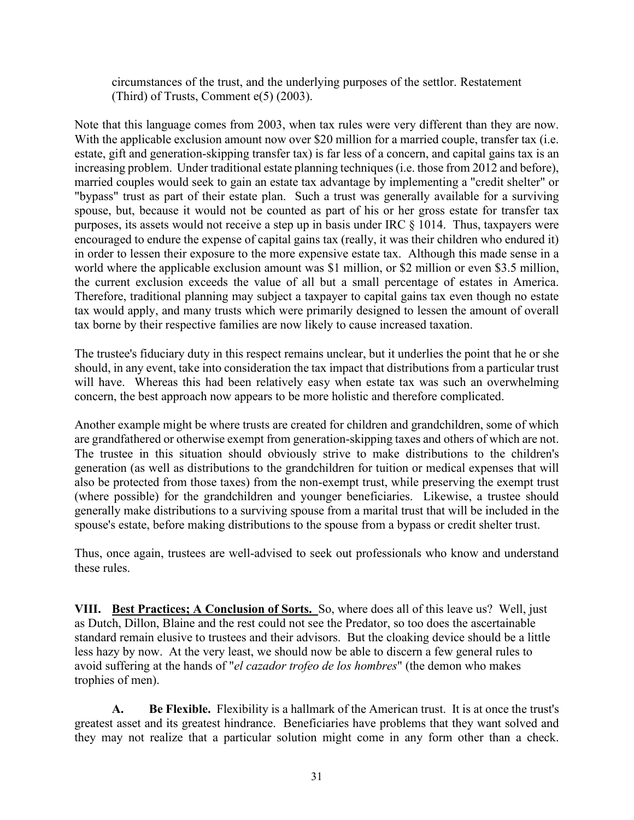circumstances of the trust, and the underlying purposes of the settlor. Restatement (Third) of Trusts, Comment  $e(5)$  (2003).

Note that this language comes from 2003, when tax rules were very different than they are now. With the applicable exclusion amount now over \$20 million for a married couple, transfer tax (i.e. estate, gift and generation-skipping transfer tax) is far less of a concern, and capital gains tax is an increasing problem. Under traditional estate planning techniques (i.e. those from 2012 and before), married couples would seek to gain an estate tax advantage by implementing a "credit shelter" or "bypass" trust as part of their estate plan. Such a trust was generally available for a surviving spouse, but, because it would not be counted as part of his or her gross estate for transfer tax purposes, its assets would not receive a step up in basis under IRC § 1014. Thus, taxpayers were encouraged to endure the expense of capital gains tax (really, it was their children who endured it) in order to lessen their exposure to the more expensive estate tax. Although this made sense in a world where the applicable exclusion amount was \$1 million, or \$2 million or even \$3.5 million, the current exclusion exceeds the value of all but a small percentage of estates in America. Therefore, traditional planning may subject a taxpayer to capital gains tax even though no estate tax would apply, and many trusts which were primarily designed to lessen the amount of overall tax borne by their respective families are now likely to cause increased taxation.

The trustee's fiduciary duty in this respect remains unclear, but it underlies the point that he or she should, in any event, take into consideration the tax impact that distributions from a particular trust will have. Whereas this had been relatively easy when estate tax was such an overwhelming concern, the best approach now appears to be more holistic and therefore complicated.

Another example might be where trusts are created for children and grandchildren, some of which are grandfathered or otherwise exempt from generation-skipping taxes and others of which are not. The trustee in this situation should obviously strive to make distributions to the children's generation (as well as distributions to the grandchildren for tuition or medical expenses that will also be protected from those taxes) from the non-exempt trust, while preserving the exempt trust (where possible) for the grandchildren and younger beneficiaries. Likewise, a trustee should generally make distributions to a surviving spouse from a marital trust that will be included in the spouse's estate, before making distributions to the spouse from a bypass or credit shelter trust.

Thus, once again, trustees are well-advised to seek out professionals who know and understand these rules.

<span id="page-33-0"></span>**VIII. Best Practices; A Conclusion of Sorts.** So, where does all of this leave us? Well, just as Dutch, Dillon, Blaine and the rest could not see the Predator, so too does the ascertainable standard remain elusive to trustees and their advisors. But the cloaking device should be a little less hazy by now. At the very least, we should now be able to discern a few general rules to avoid suffering at the hands of "*el cazador trofeo de los hombres*" (the demon who makes trophies of men).

<span id="page-33-1"></span>**A. Be Flexible.** Flexibility is a hallmark of the American trust. It is at once the trust's greatest asset and its greatest hindrance. Beneficiaries have problems that they want solved and they may not realize that a particular solution might come in any form other than a check.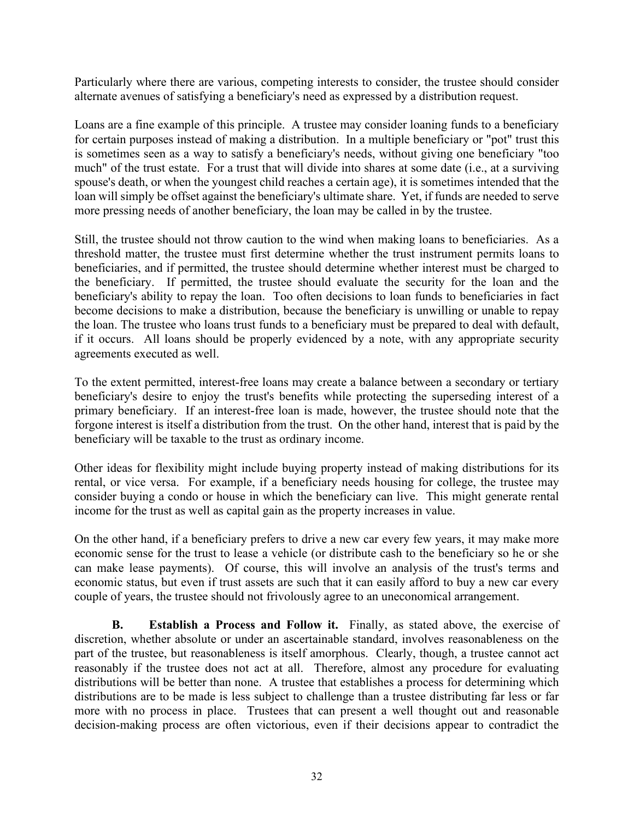Particularly where there are various, competing interests to consider, the trustee should consider alternate avenues of satisfying a beneficiary's need as expressed by a distribution request.

Loans are a fine example of this principle. A trustee may consider loaning funds to a beneficiary for certain purposes instead of making a distribution. In a multiple beneficiary or "pot" trust this is sometimes seen as a way to satisfy a beneficiary's needs, without giving one beneficiary "too much" of the trust estate. For a trust that will divide into shares at some date (i.e., at a surviving spouse's death, or when the youngest child reaches a certain age), it is sometimes intended that the loan will simply be offset against the beneficiary's ultimate share. Yet, if funds are needed to serve more pressing needs of another beneficiary, the loan may be called in by the trustee.

Still, the trustee should not throw caution to the wind when making loans to beneficiaries. As a threshold matter, the trustee must first determine whether the trust instrument permits loans to beneficiaries, and if permitted, the trustee should determine whether interest must be charged to the beneficiary. If permitted, the trustee should evaluate the security for the loan and the beneficiary's ability to repay the loan. Too often decisions to loan funds to beneficiaries in fact become decisions to make a distribution, because the beneficiary is unwilling or unable to repay the loan. The trustee who loans trust funds to a beneficiary must be prepared to deal with default, if it occurs. All loans should be properly evidenced by a note, with any appropriate security agreements executed as well.

To the extent permitted, interest-free loans may create a balance between a secondary or tertiary beneficiary's desire to enjoy the trust's benefits while protecting the superseding interest of a primary beneficiary. If an interest-free loan is made, however, the trustee should note that the forgone interest is itself a distribution from the trust. On the other hand, interest that is paid by the beneficiary will be taxable to the trust as ordinary income.

Other ideas for flexibility might include buying property instead of making distributions for its rental, or vice versa. For example, if a beneficiary needs housing for college, the trustee may consider buying a condo or house in which the beneficiary can live. This might generate rental income for the trust as well as capital gain as the property increases in value.

On the other hand, if a beneficiary prefers to drive a new car every few years, it may make more economic sense for the trust to lease a vehicle (or distribute cash to the beneficiary so he or she can make lease payments). Of course, this will involve an analysis of the trust's terms and economic status, but even if trust assets are such that it can easily afford to buy a new car every couple of years, the trustee should not frivolously agree to an uneconomical arrangement.

<span id="page-34-0"></span>**B. Establish a Process and Follow it.** Finally, as stated above, the exercise of discretion, whether absolute or under an ascertainable standard, involves reasonableness on the part of the trustee, but reasonableness is itself amorphous. Clearly, though, a trustee cannot act reasonably if the trustee does not act at all. Therefore, almost any procedure for evaluating distributions will be better than none. A trustee that establishes a process for determining which distributions are to be made is less subject to challenge than a trustee distributing far less or far more with no process in place. Trustees that can present a well thought out and reasonable decision-making process are often victorious, even if their decisions appear to contradict the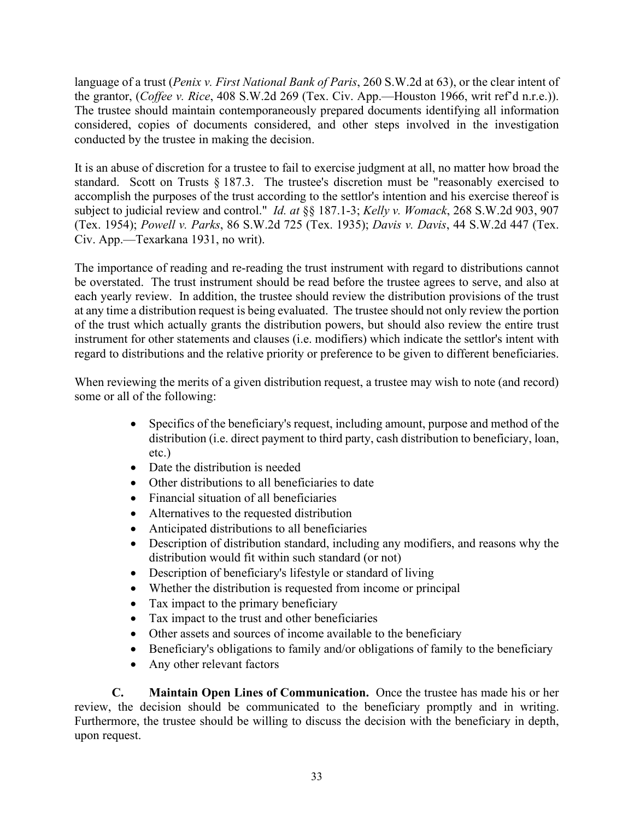language of a trust (*Penix v. First National Bank of Paris*, 260 S.W.2d at 63), or the clear intent of the grantor, (*Coffee v. Rice*, 408 S.W.2d 269 (Tex. Civ. App.—Houston 1966, writ ref'd n.r.e.)). The trustee should maintain contemporaneously prepared documents identifying all information considered, copies of documents considered, and other steps involved in the investigation conducted by the trustee in making the decision.

It is an abuse of discretion for a trustee to fail to exercise judgment at all, no matter how broad the standard. Scott on Trusts § 187.3. The trustee's discretion must be "reasonably exercised to accomplish the purposes of the trust according to the settlor's intention and his exercise thereof is subject to judicial review and control." *Id. at* §§ 187.1-3; *Kelly v. Womack*, 268 S.W.2d 903, 907 (Tex. 1954); *Powell v. Parks*, 86 S.W.2d 725 (Tex. 1935); *Davis v. Davis*, 44 S.W.2d 447 (Tex. Civ. App.—Texarkana 1931, no writ).

The importance of reading and re-reading the trust instrument with regard to distributions cannot be overstated. The trust instrument should be read before the trustee agrees to serve, and also at each yearly review. In addition, the trustee should review the distribution provisions of the trust at any time a distribution request is being evaluated. The trustee should not only review the portion of the trust which actually grants the distribution powers, but should also review the entire trust instrument for other statements and clauses (i.e. modifiers) which indicate the settlor's intent with regard to distributions and the relative priority or preference to be given to different beneficiaries.

When reviewing the merits of a given distribution request, a trustee may wish to note (and record) some or all of the following:

- Specifics of the beneficiary's request, including amount, purpose and method of the distribution (i.e. direct payment to third party, cash distribution to beneficiary, loan, etc.)
- Date the distribution is needed
- Other distributions to all beneficiaries to date
- Financial situation of all beneficiaries
- Alternatives to the requested distribution
- Anticipated distributions to all beneficiaries
- Description of distribution standard, including any modifiers, and reasons why the distribution would fit within such standard (or not)
- Description of beneficiary's lifestyle or standard of living
- Whether the distribution is requested from income or principal
- Tax impact to the primary beneficiary
- Tax impact to the trust and other beneficiaries
- Other assets and sources of income available to the beneficiary
- Beneficiary's obligations to family and/or obligations of family to the beneficiary
- Any other relevant factors

<span id="page-35-0"></span>**C. Maintain Open Lines of Communication.** Once the trustee has made his or her review, the decision should be communicated to the beneficiary promptly and in writing. Furthermore, the trustee should be willing to discuss the decision with the beneficiary in depth, upon request.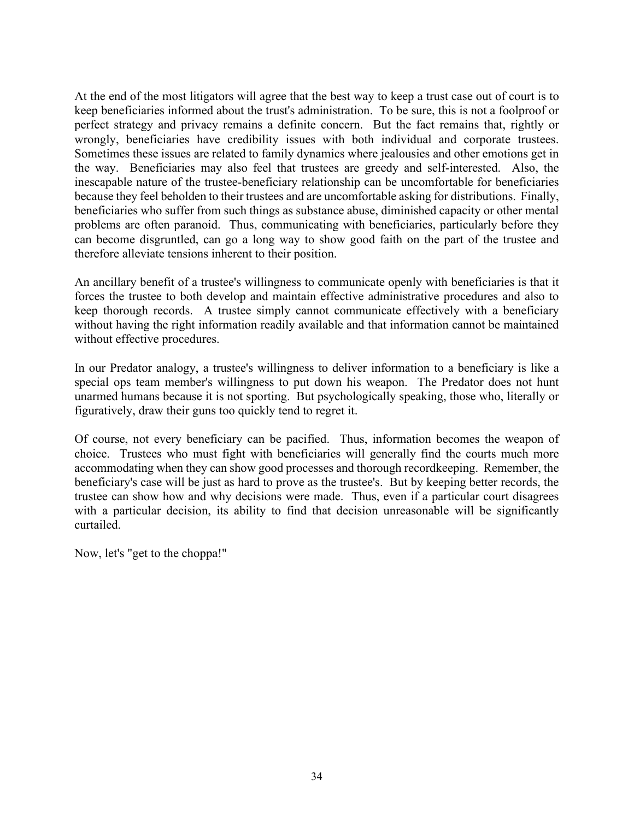At the end of the most litigators will agree that the best way to keep a trust case out of court is to keep beneficiaries informed about the trust's administration. To be sure, this is not a foolproof or perfect strategy and privacy remains a definite concern. But the fact remains that, rightly or wrongly, beneficiaries have credibility issues with both individual and corporate trustees. Sometimes these issues are related to family dynamics where jealousies and other emotions get in the way. Beneficiaries may also feel that trustees are greedy and self-interested. Also, the inescapable nature of the trustee-beneficiary relationship can be uncomfortable for beneficiaries because they feel beholden to their trustees and are uncomfortable asking for distributions. Finally, beneficiaries who suffer from such things as substance abuse, diminished capacity or other mental problems are often paranoid. Thus, communicating with beneficiaries, particularly before they can become disgruntled, can go a long way to show good faith on the part of the trustee and therefore alleviate tensions inherent to their position.

An ancillary benefit of a trustee's willingness to communicate openly with beneficiaries is that it forces the trustee to both develop and maintain effective administrative procedures and also to keep thorough records. A trustee simply cannot communicate effectively with a beneficiary without having the right information readily available and that information cannot be maintained without effective procedures.

In our Predator analogy, a trustee's willingness to deliver information to a beneficiary is like a special ops team member's willingness to put down his weapon. The Predator does not hunt unarmed humans because it is not sporting. But psychologically speaking, those who, literally or figuratively, draw their guns too quickly tend to regret it.

Of course, not every beneficiary can be pacified. Thus, information becomes the weapon of choice. Trustees who must fight with beneficiaries will generally find the courts much more accommodating when they can show good processes and thorough recordkeeping. Remember, the beneficiary's case will be just as hard to prove as the trustee's. But by keeping better records, the trustee can show how and why decisions were made. Thus, even if a particular court disagrees with a particular decision, its ability to find that decision unreasonable will be significantly curtailed.

Now, let's "get to the choppa!"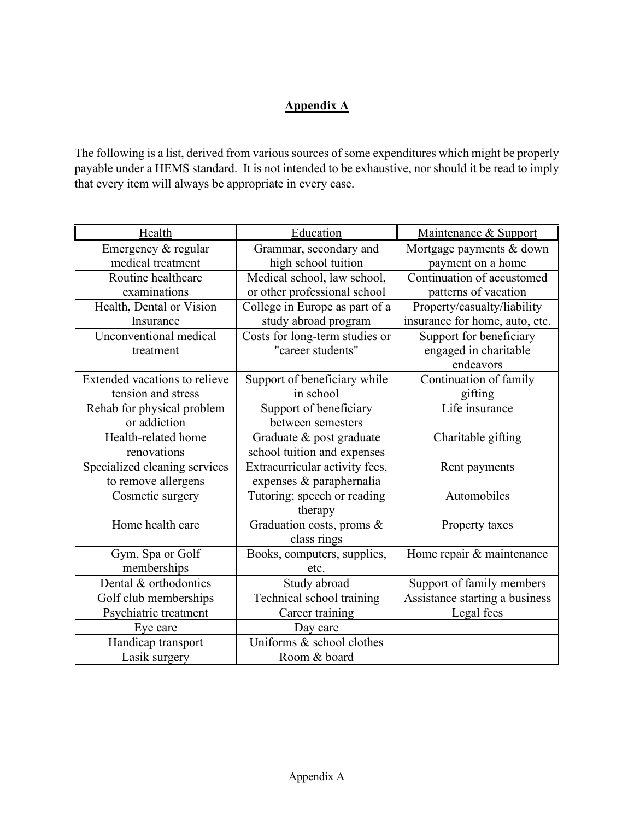## **Appendix A**

The following is a list, derived from various sources of some expenditures which might be properly payable under a HEMS standard. It is not intended to be exhaustive, nor should it be read to imply that every item will always be appropriate in every case.

| Health                        | Education                      | Maintenance & Support          |
|-------------------------------|--------------------------------|--------------------------------|
| Emergency & regular           | Grammar, secondary and         | Mortgage payments & down       |
| medical treatment             | high school tuition            | payment on a home              |
| Routine healthcare            | Medical school, law school,    | Continuation of accustomed     |
| examinations                  | or other professional school   | patterns of vacation           |
| Health, Dental or Vision      | College in Europe as part of a | Property/casualty/liability    |
| Insurance                     | study abroad program           | insurance for home, auto, etc. |
| Unconventional medical        | Costs for long-term studies or | Support for beneficiary        |
| treatment                     | "career students"              | engaged in charitable          |
|                               |                                | endeavors                      |
| Extended vacations to relieve | Support of beneficiary while   | Continuation of family         |
| tension and stress            | in school                      | gifting                        |
| Rehab for physical problem    | Support of beneficiary         | Life insurance                 |
| or addiction                  | between semesters              |                                |
| Health-related home           | Graduate & post graduate       | Charitable gifting             |
| renovations                   | school tuition and expenses    |                                |
| Specialized cleaning services | Extracurricular activity fees, | Rent payments                  |
| to remove allergens           | expenses & paraphernalia       |                                |
| Cosmetic surgery              | Tutoring; speech or reading    | Automobiles                    |
|                               | therapy                        |                                |
| Home health care              | Graduation costs, proms &      | Property taxes                 |
|                               | class rings                    |                                |
| Gym, Spa or Golf              | Books, computers, supplies,    | Home repair & maintenance      |
| memberships                   | etc.                           |                                |
| Dental & orthodontics         | Study abroad                   | Support of family members      |
| Golf club memberships         | Technical school training      | Assistance starting a business |
| Psychiatric treatment         | Career training                | Legal fees                     |
| Eye care                      | Day care                       |                                |
| Handicap transport            | Uniforms & school clothes      |                                |
| Lasik surgery                 | Room & board                   |                                |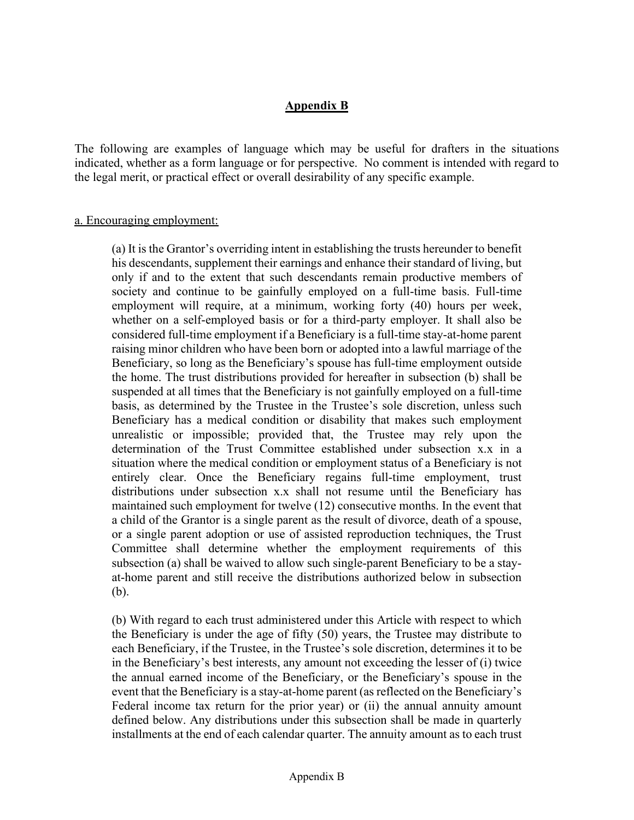### **Appendix B**

The following are examples of language which may be useful for drafters in the situations indicated, whether as a form language or for perspective. No comment is intended with regard to the legal merit, or practical effect or overall desirability of any specific example.

#### a. Encouraging employment:

(a) It is the Grantor's overriding intent in establishing the trusts hereunder to benefit his descendants, supplement their earnings and enhance their standard of living, but only if and to the extent that such descendants remain productive members of society and continue to be gainfully employed on a full-time basis. Full-time employment will require, at a minimum, working forty (40) hours per week, whether on a self-employed basis or for a third-party employer. It shall also be considered full-time employment if a Beneficiary is a full-time stay-at-home parent raising minor children who have been born or adopted into a lawful marriage of the Beneficiary, so long as the Beneficiary's spouse has full-time employment outside the home. The trust distributions provided for hereafter in subsection (b) shall be suspended at all times that the Beneficiary is not gainfully employed on a full-time basis, as determined by the Trustee in the Trustee's sole discretion, unless such Beneficiary has a medical condition or disability that makes such employment unrealistic or impossible; provided that, the Trustee may rely upon the determination of the Trust Committee established under subsection x.x in a situation where the medical condition or employment status of a Beneficiary is not entirely clear. Once the Beneficiary regains full-time employment, trust distributions under subsection x.x shall not resume until the Beneficiary has maintained such employment for twelve (12) consecutive months. In the event that a child of the Grantor is a single parent as the result of divorce, death of a spouse, or a single parent adoption or use of assisted reproduction techniques, the Trust Committee shall determine whether the employment requirements of this subsection (a) shall be waived to allow such single-parent Beneficiary to be a stayat-home parent and still receive the distributions authorized below in subsection (b).

(b) With regard to each trust administered under this Article with respect to which the Beneficiary is under the age of fifty (50) years, the Trustee may distribute to each Beneficiary, if the Trustee, in the Trustee's sole discretion, determines it to be in the Beneficiary's best interests, any amount not exceeding the lesser of (i) twice the annual earned income of the Beneficiary, or the Beneficiary's spouse in the event that the Beneficiary is a stay-at-home parent (as reflected on the Beneficiary's Federal income tax return for the prior year) or (ii) the annual annuity amount defined below. Any distributions under this subsection shall be made in quarterly installments at the end of each calendar quarter. The annuity amount as to each trust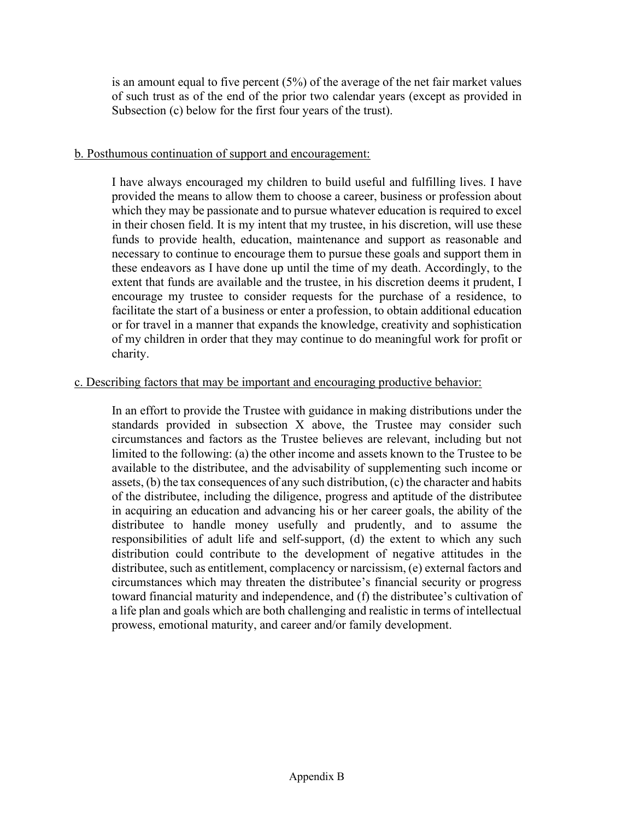is an amount equal to five percent (5%) of the average of the net fair market values of such trust as of the end of the prior two calendar years (except as provided in Subsection (c) below for the first four years of the trust).

#### b. Posthumous continuation of support and encouragement:

I have always encouraged my children to build useful and fulfilling lives. I have provided the means to allow them to choose a career, business or profession about which they may be passionate and to pursue whatever education is required to excel in their chosen field. It is my intent that my trustee, in his discretion, will use these funds to provide health, education, maintenance and support as reasonable and necessary to continue to encourage them to pursue these goals and support them in these endeavors as I have done up until the time of my death. Accordingly, to the extent that funds are available and the trustee, in his discretion deems it prudent, I encourage my trustee to consider requests for the purchase of a residence, to facilitate the start of a business or enter a profession, to obtain additional education or for travel in a manner that expands the knowledge, creativity and sophistication of my children in order that they may continue to do meaningful work for profit or charity.

#### c. Describing factors that may be important and encouraging productive behavior:

In an effort to provide the Trustee with guidance in making distributions under the standards provided in subsection X above, the Trustee may consider such circumstances and factors as the Trustee believes are relevant, including but not limited to the following: (a) the other income and assets known to the Trustee to be available to the distributee, and the advisability of supplementing such income or assets, (b) the tax consequences of any such distribution, (c) the character and habits of the distributee, including the diligence, progress and aptitude of the distributee in acquiring an education and advancing his or her career goals, the ability of the distributee to handle money usefully and prudently, and to assume the responsibilities of adult life and self-support, (d) the extent to which any such distribution could contribute to the development of negative attitudes in the distributee, such as entitlement, complacency or narcissism, (e) external factors and circumstances which may threaten the distributee's financial security or progress toward financial maturity and independence, and (f) the distributee's cultivation of a life plan and goals which are both challenging and realistic in terms of intellectual prowess, emotional maturity, and career and/or family development.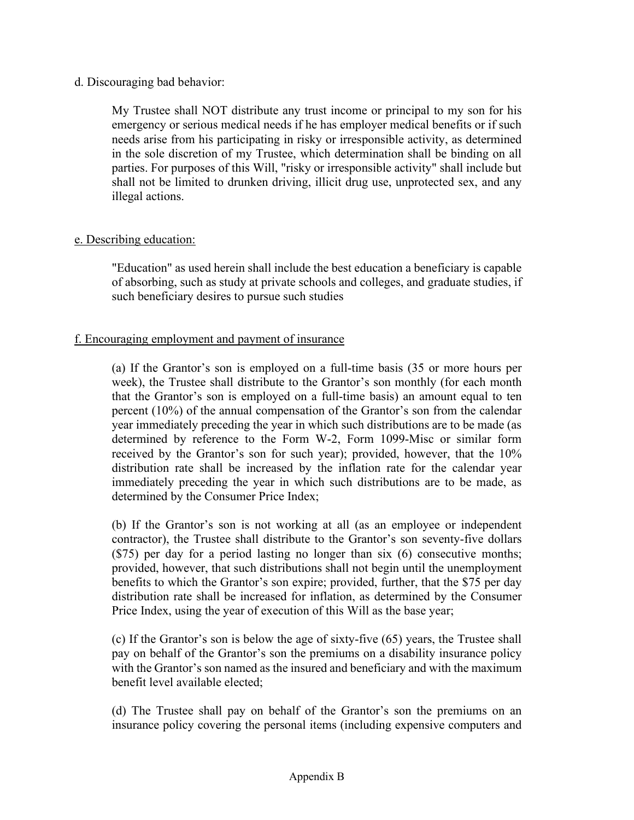#### d. Discouraging bad behavior:

My Trustee shall NOT distribute any trust income or principal to my son for his emergency or serious medical needs if he has employer medical benefits or if such needs arise from his participating in risky or irresponsible activity, as determined in the sole discretion of my Trustee, which determination shall be binding on all parties. For purposes of this Will, "risky or irresponsible activity" shall include but shall not be limited to drunken driving, illicit drug use, unprotected sex, and any illegal actions.

#### e. Describing education:

"Education" as used herein shall include the best education a beneficiary is capable of absorbing, such as study at private schools and colleges, and graduate studies, if such beneficiary desires to pursue such studies

#### f. Encouraging employment and payment of insurance

(a) If the Grantor's son is employed on a full-time basis (35 or more hours per week), the Trustee shall distribute to the Grantor's son monthly (for each month that the Grantor's son is employed on a full-time basis) an amount equal to ten percent (10%) of the annual compensation of the Grantor's son from the calendar year immediately preceding the year in which such distributions are to be made (as determined by reference to the Form W-2, Form 1099-Misc or similar form received by the Grantor's son for such year); provided, however, that the 10% distribution rate shall be increased by the inflation rate for the calendar year immediately preceding the year in which such distributions are to be made, as determined by the Consumer Price Index;

(b) If the Grantor's son is not working at all (as an employee or independent contractor), the Trustee shall distribute to the Grantor's son seventy-five dollars (\$75) per day for a period lasting no longer than six (6) consecutive months; provided, however, that such distributions shall not begin until the unemployment benefits to which the Grantor's son expire; provided, further, that the \$75 per day distribution rate shall be increased for inflation, as determined by the Consumer Price Index, using the year of execution of this Will as the base year;

(c) If the Grantor's son is below the age of sixty-five (65) years, the Trustee shall pay on behalf of the Grantor's son the premiums on a disability insurance policy with the Grantor's son named as the insured and beneficiary and with the maximum benefit level available elected;

(d) The Trustee shall pay on behalf of the Grantor's son the premiums on an insurance policy covering the personal items (including expensive computers and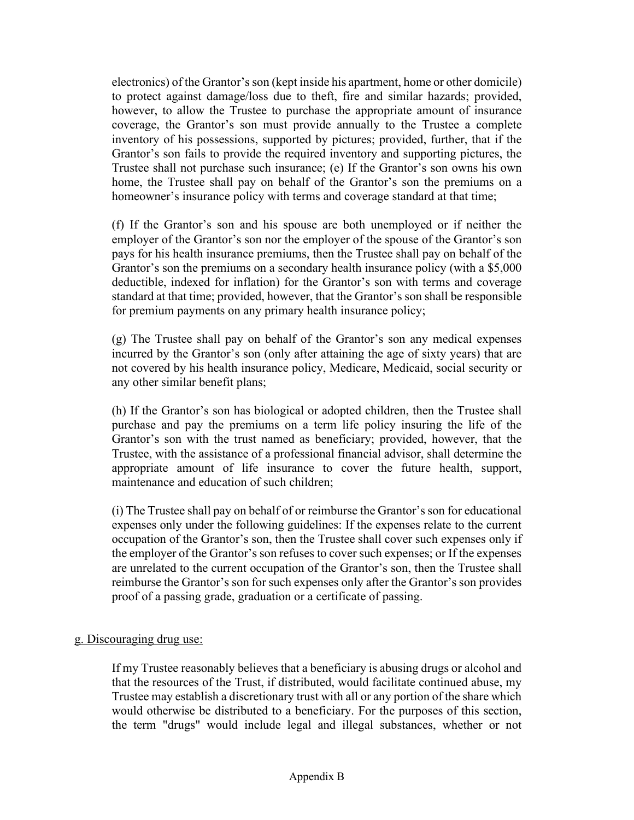electronics) of the Grantor's son (kept inside his apartment, home or other domicile) to protect against damage/loss due to theft, fire and similar hazards; provided, however, to allow the Trustee to purchase the appropriate amount of insurance coverage, the Grantor's son must provide annually to the Trustee a complete inventory of his possessions, supported by pictures; provided, further, that if the Grantor's son fails to provide the required inventory and supporting pictures, the Trustee shall not purchase such insurance; (e) If the Grantor's son owns his own home, the Trustee shall pay on behalf of the Grantor's son the premiums on a homeowner's insurance policy with terms and coverage standard at that time;

(f) If the Grantor's son and his spouse are both unemployed or if neither the employer of the Grantor's son nor the employer of the spouse of the Grantor's son pays for his health insurance premiums, then the Trustee shall pay on behalf of the Grantor's son the premiums on a secondary health insurance policy (with a \$5,000 deductible, indexed for inflation) for the Grantor's son with terms and coverage standard at that time; provided, however, that the Grantor's son shall be responsible for premium payments on any primary health insurance policy;

(g) The Trustee shall pay on behalf of the Grantor's son any medical expenses incurred by the Grantor's son (only after attaining the age of sixty years) that are not covered by his health insurance policy, Medicare, Medicaid, social security or any other similar benefit plans;

(h) If the Grantor's son has biological or adopted children, then the Trustee shall purchase and pay the premiums on a term life policy insuring the life of the Grantor's son with the trust named as beneficiary; provided, however, that the Trustee, with the assistance of a professional financial advisor, shall determine the appropriate amount of life insurance to cover the future health, support, maintenance and education of such children;

(i) The Trustee shall pay on behalf of or reimburse the Grantor's son for educational expenses only under the following guidelines: If the expenses relate to the current occupation of the Grantor's son, then the Trustee shall cover such expenses only if the employer of the Grantor's son refuses to cover such expenses; or If the expenses are unrelated to the current occupation of the Grantor's son, then the Trustee shall reimburse the Grantor's son for such expenses only after the Grantor's son provides proof of a passing grade, graduation or a certificate of passing.

#### g. Discouraging drug use:

If my Trustee reasonably believes that a beneficiary is abusing drugs or alcohol and that the resources of the Trust, if distributed, would facilitate continued abuse, my Trustee may establish a discretionary trust with all or any portion of the share which would otherwise be distributed to a beneficiary. For the purposes of this section, the term "drugs" would include legal and illegal substances, whether or not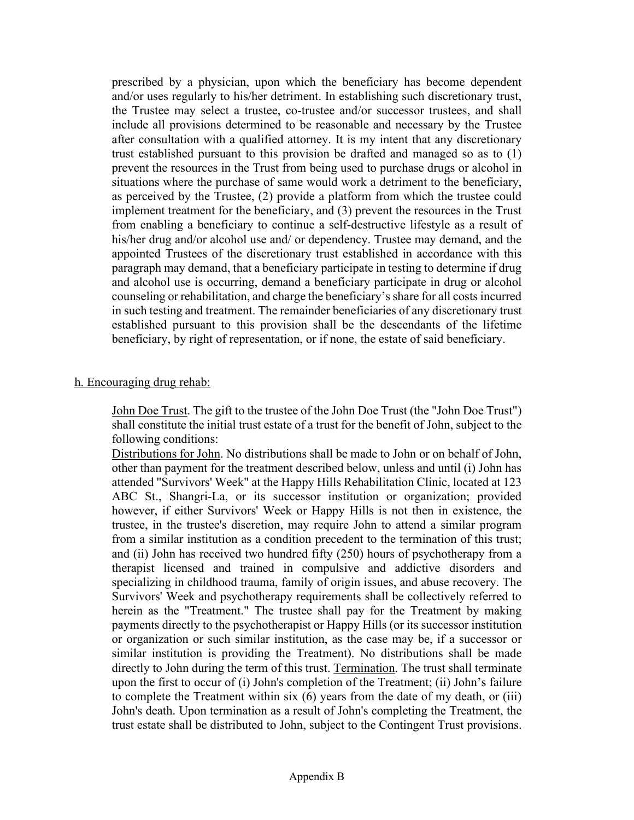prescribed by a physician, upon which the beneficiary has become dependent and/or uses regularly to his/her detriment. In establishing such discretionary trust, the Trustee may select a trustee, co-trustee and/or successor trustees, and shall include all provisions determined to be reasonable and necessary by the Trustee after consultation with a qualified attorney. It is my intent that any discretionary trust established pursuant to this provision be drafted and managed so as to (1) prevent the resources in the Trust from being used to purchase drugs or alcohol in situations where the purchase of same would work a detriment to the beneficiary, as perceived by the Trustee, (2) provide a platform from which the trustee could implement treatment for the beneficiary, and (3) prevent the resources in the Trust from enabling a beneficiary to continue a self-destructive lifestyle as a result of his/her drug and/or alcohol use and/ or dependency. Trustee may demand, and the appointed Trustees of the discretionary trust established in accordance with this paragraph may demand, that a beneficiary participate in testing to determine if drug and alcohol use is occurring, demand a beneficiary participate in drug or alcohol counseling or rehabilitation, and charge the beneficiary's share for all costs incurred in such testing and treatment. The remainder beneficiaries of any discretionary trust established pursuant to this provision shall be the descendants of the lifetime beneficiary, by right of representation, or if none, the estate of said beneficiary.

#### h. Encouraging drug rehab:

John Doe Trust. The gift to the trustee of the John Doe Trust (the "John Doe Trust") shall constitute the initial trust estate of a trust for the benefit of John, subject to the following conditions:

Distributions for John. No distributions shall be made to John or on behalf of John, other than payment for the treatment described below, unless and until (i) John has attended "Survivors' Week" at the Happy Hills Rehabilitation Clinic, located at 123 ABC St., Shangri-La, or its successor institution or organization; provided however, if either Survivors' Week or Happy Hills is not then in existence, the trustee, in the trustee's discretion, may require John to attend a similar program from a similar institution as a condition precedent to the termination of this trust; and (ii) John has received two hundred fifty (250) hours of psychotherapy from a therapist licensed and trained in compulsive and addictive disorders and specializing in childhood trauma, family of origin issues, and abuse recovery. The Survivors' Week and psychotherapy requirements shall be collectively referred to herein as the "Treatment." The trustee shall pay for the Treatment by making payments directly to the psychotherapist or Happy Hills (or its successor institution or organization or such similar institution, as the case may be, if a successor or similar institution is providing the Treatment). No distributions shall be made directly to John during the term of this trust. Termination. The trust shall terminate upon the first to occur of (i) John's completion of the Treatment; (ii) John's failure to complete the Treatment within six (6) years from the date of my death, or (iii) John's death. Upon termination as a result of John's completing the Treatment, the trust estate shall be distributed to John, subject to the Contingent Trust provisions.